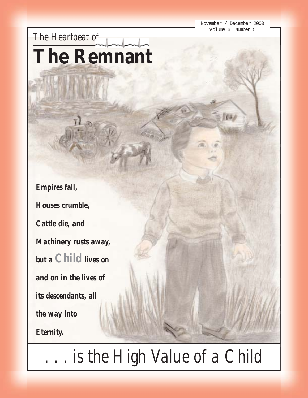November / December 2000 Volume 6 Number 5

**BW** 

*The Heartbeat of* **The Remnant**

*Empires fall, Houses crumble, Cattle die, and Machinery rusts away, but a Child lives on and on in the lives of its descendants, all the way into Eternity.*

*. . . is the High Value of a Child*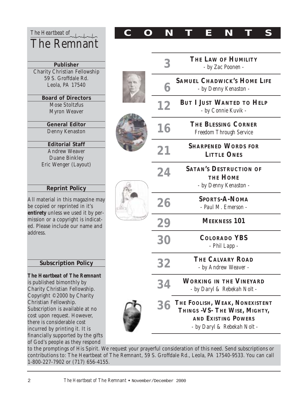| The Heartbeat of                                                                                                                                                                                                                                                                                                                                        |  | N         |                                                                           | E | N |  |  |
|---------------------------------------------------------------------------------------------------------------------------------------------------------------------------------------------------------------------------------------------------------------------------------------------------------------------------------------------------------|--|-----------|---------------------------------------------------------------------------|---|---|--|--|
| The Remnant                                                                                                                                                                                                                                                                                                                                             |  |           |                                                                           |   |   |  |  |
| <b>Publisher</b><br><b>Charity Christian Fellowship</b><br>59 S. Groffdale Rd.<br>Leola, PA 17540                                                                                                                                                                                                                                                       |  | 3         | THE LAW OF HUMILITY<br>- by Zac Poonen -                                  |   |   |  |  |
|                                                                                                                                                                                                                                                                                                                                                         |  |           | <b>SAMUEL CHADWICK'S HOME LIFE</b><br>- by Denny Kenaston -               |   |   |  |  |
| <b>Board of Directors</b><br><b>Mose Stoltzfus</b><br><b>Myron Weaver</b>                                                                                                                                                                                                                                                                               |  | 12        | <b>BUT I JUST WANTED TO HELP</b><br>- by Connie Kuvik -                   |   |   |  |  |
| <b>General Editor</b><br>Denny Kenaston                                                                                                                                                                                                                                                                                                                 |  | 16        | <b>THE BLESSING CORNER</b><br><b>Freedom Through Service</b>              |   |   |  |  |
| <b>Editorial Staff</b><br><b>Andrew Weaver</b><br><b>Duane Binkley</b><br>Eric Wenger (Layout)<br><b>Reprint Policy</b><br>All material in this magazine may<br>be copied or reprinted in it's<br>entirety unless we used it by per-<br>mission or a copyright is indicat-<br>ed. Please include our name and<br>address.<br><b>Subscription Policy</b> |  | 21        | <b>SHARPENED WORDS FOR</b><br><b>LITTLE ONES</b>                          |   |   |  |  |
|                                                                                                                                                                                                                                                                                                                                                         |  | 24        | <b>SATAN'S DESTRUCTION OF</b><br><b>THE HOME</b><br>- by Denny Kenaston - |   |   |  |  |
|                                                                                                                                                                                                                                                                                                                                                         |  | 26        | <b>SPORTS-A-NOMA</b><br>- Paul M. Emerson -                               |   |   |  |  |
|                                                                                                                                                                                                                                                                                                                                                         |  | 29        | <b>MEEKNESS 101</b>                                                       |   |   |  |  |
|                                                                                                                                                                                                                                                                                                                                                         |  | 30        | <b>COLORADO YBS</b><br>- Phil Lapp -                                      |   |   |  |  |
|                                                                                                                                                                                                                                                                                                                                                         |  | <b>32</b> | THE CALVARY ROAD<br>- by Andrew Weaver -                                  |   |   |  |  |

*The Heartbeat of The Remnant* is published bimonthly by Charity Christian Fellowship. Copyright ©2000 by Charity Christian Fellowship. Subscription is available at no cost upon request. However, there is considerable cost incurred by printing it. It is financially supported by the gifts of God's people as they respond

**WORKING IN THE VINEYARD** *- by Daryl & Rebekah Nolt -* **THE FOOLISH, WEAK, NONEXISTENT THINGS -VS- THE WISE, MIGHTY, AND EXISTING POWERS 34 36**

*- by Daryl & Rebekah Nolt -*

to the promptings of His Spirit. We request your prayerful consideration of this need. Send subscriptions or contributions to: The Heartbeat of The Remnant, 59 S. Groffdale Rd., Leola, PA 17540-9533. You can call 1-800-227-7902 or (717) 656-4155.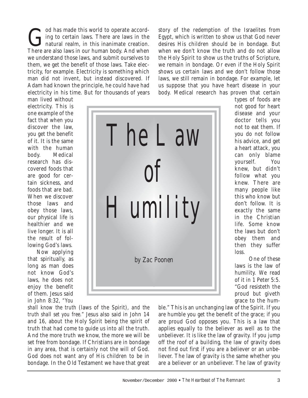God has made this world to operate accord-<br>ing to certain laws. There are laws in the<br>natural realm, in this inanimate creation. ing to certain laws. There are laws in the I natural realm, in this inanimate creation. There are also laws in our human body. And when we understand those laws, and submit ourselves to them, we get the benefit of those laws. Take electricity, for example. Electricity is something which man did not invent, but instead discovered. If Adam had known the principle, he could have had electricity in his time. But for thousands of years

man lived without electricity. This is one example of the fact that when you discover the law, you get the benefit of it. It is the same with the human body. Medical research has discovered foods that are good for certain sickness, and foods that are bad. When we discover those laws and obey those laws, our physical life is healthier and we live longer. It is all the result of following God's laws.

Now applying that spiritually, as long as man does not know God's laws, he does not enjoy the benefit of them. Jesus said in John 8:32, *"You*

*shall know the truth* (laws of the Spirit)*, and the truth shall set you free."* Jesus also said in John 14 and 16, about the Holy Spirit being the spirit of truth that had come to guide us into all the truth. And the more truth we know, the more we will be set free from bondage. If Christians are in bondage in any area, that is certainly not the will of God. God does not want any of His children to be in bondage. In the Old Testament we have that great

November/December 2000 ! *The Heartbeat of* The Remnant 3

story of the redemption of the Israelites from Egypt, which is written to show us that God never desires His children should be in bondage. But when we don't know the truth and do not allow the Holy Spirit to show us the truths of Scripture, we remain in bondage. Or even if the Holy Spirit shows us certain laws and we don't follow those laws, we still remain in bondage. For example, let us suppose that you have heart disease in your body. Medical research has proven that certain

types of foods are not good for heart disease and your doctor tells you not to eat them. If you do not follow his advice, and get a heart attack, you can only blame yourself. You knew, but didn't follow what you knew. There are many people like this who know but don't follow. It is exactly the same in the Christian life. Some know the laws but don't obey them and then they suffer loss.

One of these laws is the law of humility. We read of it in 1 Peter 5:5. "God resisteth the proud but giveth grace to the hum-

ble." This is an unchanging law of the Spirit. If you are humble you get the benefit of the grace; if you are proud God opposes you. This is a law that applies equally to the believer as well as to the unbeliever. It is like the law of gravity. If you jump off the roof of a building, the law of gravity does not find out first if you are a believer or an unbeliever. The law of gravity is the same whether you are a believer or an unbeliever. The law of gravity

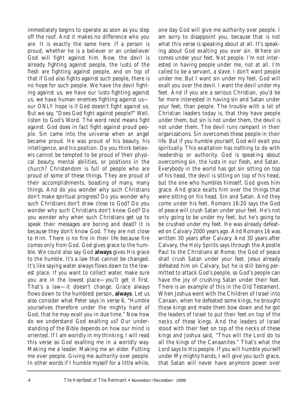immediately begins to operate as soon as you step off the roof. And it makes no difference who you are. It is exactly the same here. If a person is proud, whether he is a believer or an unbeliever God will fight against him. Now, the devil is already fighting against people, the lusts of the flesh are fighting against people, and on top of that if God also fights against such people, there is no hope for such people. We have the devil fighting against us, we have our lusts fighting against us, we have human enemies fighting against us our ONLY hope is if God doesn't fight against us. But we say, "Does God fight against people?" Well, listen to God's Word. The word *resist* means *fight against*. God does in fact fight against proud people. Sin came into the universe when an angel became proud. He was proud of his beauty, his intelligence, and his position. Do you think believers cannot be tempted to be proud of their physical beauty, mental abilities, or positions in the church? Christendom is full of people who are proud of some of these things. They are proud of their accomplishments, boasting of many, many things. And do you wonder why such Christians don't make spiritual progress? Do you wonder why such Christians don't draw close to God? Do you wonder why such Christians don't know God? Do you wonder why when such Christians get up to speak their messages are boring and dead? It is because they don't know God. They are not close to Him. There is no fire in their life because fire comes only from God. God gives grace to the humble. We could also say God **always** gives His grace to the humble. It's a law that cannot be changed. It's like saying water always flows down to the lowest place. If you want to collect water, make sure you are in the lowest place—you'll get it first. That's a law—it doesn't change. Grace always flows down to the humblest person, **always**. Let us also consider what Peter says in verse 6, "Humble yourselves therefore under the mighty hand of God, that he may exalt you in due time." Now how do we understand God exalting us? Our understanding of the Bible depends on how our mind is oriented. If I am worldly in my thinking, I will read this verse as God exalting me in a worldly way. Making me a leader. Making me an elder. Putting me over people. Giving me authority over people. In other words if I humble myself for a little while,

one day God will give me authority over people. I am sorry to disappoint you, because that is not what this verse is speaking about at all. It's speaking about God exalting you over sin. Where *sin* comes under your feet. Not people. I'm not interested in having people under me, not at all. I'm called to be a servant, a slave. I don't want people under me. But I want sin under my feet. God will exalt you over the devil. I want the devil under my feet. And if you are a serious Christian, you'd be far more interested in having sin and Satan under your feet, than people. The trouble with a lot of Christian leaders today is, that they have people under them, but sin is not under them, the devil is not under them. The devil runs rampant in their organizations. Sin overcomes these people in their life. But if you humble yourself, God will exalt you spiritually. This exaltation has nothing to do with leadership or authority. God is speaking about overcoming sin, the lusts in our flesh, and Satan. Everybody in the world has got sin sitting on top of his head, the devil is sitting on top of his head, but the one who humbles himself, God gives him grace. And grace exalts him over the things that were sitting on his head. Sin and Satan. And they come under his feet. Romans 16:20 says the God of peace will crush Satan under your feet. He's not only going to be under my feet, but he's going to be crushed under my feet. He was already defeated on Calvary 2000 years ago. And Romans 16 was written 30 years after Calvary. And 30 years after Calvary, the Holy Spirits says through the Apostle Paul to the Christians at Rome, the God of peace shall crush Satan under your feet. Jesus already defeated him on Calvary, but he is still being permitted to attack God's people, so God's people can have the joy of crushing Satan under their feet. There is an example of this in the Old Testament. When Joshua went with the Children of Israel into Canaan, when he defeated some kings, he brought those kings and made them bow down and he got the leaders of Israel to put their feet on top of the necks of these kings. And the leaders of Israel stood with their feet on top of the necks of these kings and Joshua said, "Thus will the Lord do to all the kings of the Canaanites." That's what the Lord says to His people. If you will humble yourself under My mighty hands, I will give you such grace, that Satan will never have anymore power over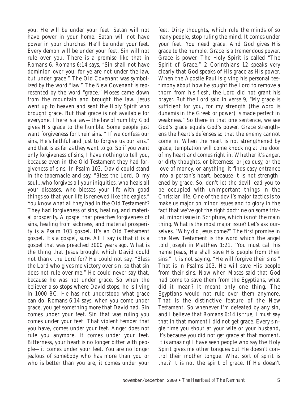you. He will be under your feet. Satan will not have power in your home. Satan will not have power in your churches. He'll be under your feet. Every demon will be under your feet. Sin will not rule over you. There is a promise like that in Romans 6. Romans 6:14 says, "Sin shall not have dominion over you: for ye are not under the law, but under grace." The Old Covenant was symbolized by the word "law." The New Covenant is represented by the word "grace." Moses came down from the mountain and brought the law. Jesus went up to heaven and sent the Holy Spirit who brought grace. But that grace is not available for everyone. There is a law—the law of humility. God gives His grace to the humble. Some people just want forgiveness for their sins. " If we confess our sins, He's faithful and just to forgive us our sins," and that is as far as they want to go. So if you want only forgiveness of sins, I have nothing to tell you, because even in the Old Testament they had forgiveness of sins. In Psalm 103, David could stand in the tabernacle and say, "Bless the Lord, O my soul...who forgives all your iniquities, who heals all your diseases, who blesses your life with good things so that your life is renewed like the eagles." You know what all they had in the Old Testament? They had forgiveness of sins, healing, and material prosperity. A gospel that preaches forgiveness of sins, healing from sickness, and material prosperity is a Psalm 103 gospel. It's an Old Testament gospel. It's a gospel, sure. All I say is that it is a gospel that was preached 3000 years ago. What is the thing that Jesus brought which David could not thank the Lord for? He could not say, "Bless the Lord who gives me victory over sin, so that sin does not rule over me." He could never say that, because he was not under grace. So when the believer also stops where David stops, he is living in 1000 BC. He has not understood what grace can do. Romans 6:14 says, when you come under grace, you get something more that David had. Sin comes under your feet. Sin that was ruling you comes under your feet. That violent temper that you have, comes under your feet. Anger does not rule you anymore. It comes under your feet. Bitterness, your heart is no longer bitter with people—it comes under your feet. You are no longer jealous of somebody who has more than you or who is better than you are, it comes under your

feet. Dirty thoughts, which rule the minds of so many people, stop ruling the mind. It comes under your feet. You need grace. And God gives His grace to the humble. Grace is a tremendous power. Grace is power. The Holy Spirit is called "The Spirit of Grace." 2 Corinthians 12 speaks very clearly that God speaks of His grace as His power. When the Apostle Paul is giving his personal testimony about how he sought the Lord to remove a thorn from his flesh, the Lord did not grant his prayer. But the Lord said in verse 9, "My grace is sufficient for you, for my strength (the word is dunamis in the Greek or power) is made perfect in weakness." So there in that one sentence, we see God's grace equals God's power. Grace strengthens the heart's defenses so that the enemy cannot come in. When the heart is not strengthened by grace, temptation will come knocking at the door of my heart and comes right in. Whether it's anger, or dirty thoughts, or bitterness, or jealousy, or the love of money, or anything, it finds easy entrance into a person's heart, because it is not strengthened by grace. So, don't let the devil lead you to be occupied with unimportant things in the Christian life. One of the devil's major tactics is to make us major on minor issues and to glory in the fact that we've got the right doctrine on some trivial, minor issue in Scripture, which is not the main thing. What is the most major issue? Let's ask ourselves, "Why did Jesus come?" The first promise in the New Testament is the word which the angel told Joseph in Matthew 1:21. "You must call his name Jesus, He shall save His people from their sins." It is not saying, "He will forgive their sins." That is in Psalms 103. He will save His people from their sins. Now when Moses said that God had come to save them from the Egyptians, what did it mean? It meant only one thing. The Egyptians would not rule over them anymore. That is the distinctive feature of the New Testament. So whenever I'm defeated by any sin, and I believe that Romans 6:14 is true, I must say that in that moment I did not get grace. Every single time you shout at your wife or your husband, it's because you did not get grace at that moment. It is amazing! I have seen people who say the Holy Spirit gives me other tongues but He doesn't control their mother tongue. What sort of spirit is that? It is not the spirit of grace. If He doesn't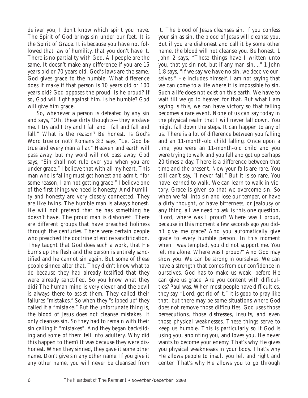deliver you, I don't know which spirit you have. The Spirit of God brings sin under our feet. It is the Spirit of Grace. It is because you have not followed that law of humility, that you don't have it. There is no partiality with God. All people are the same. It doesn't make any difference if you are 15 years old or 70 years old. God's laws are the same. God gives grace to the humble. What difference does it make if that person is 10 years old or 100 years old? God opposes the proud. Is he proud? If so, God will fight against him. Is he humble? God will give him grace.

So, whenever a person is defeated by any sin and says, "Oh, these dirty thoughts—they enslave me. I try and I try and I fall and I fall and fall and fall." What is the reason? Be honest. Is God's Word true or not? Romans 3:3 says, "Let God be true and every man a liar." Heaven and earth will pass away, but my word will not pass away. God says, "Sin shall not rule over you when you are under grace." I believe that with all my heart. This man who is failing must get honest and admit, "for some reason, I am not getting grace." I believe one of the first things we need is honesty. And humility and honesty are very closely connected. They are like twins. The humble man is always honest. He will not pretend that he has something he doesn't have. The proud man is dishonest. There are different groups that have preached holiness through the centuries. There were certain people who preached the doctrine of entire sanctification. They taught that God does such a work, that He burns up the flesh and the person is entirely sanctified and he cannot sin again. But some of these people sinned after that. They didn't know what to do because they had already testified that they were already sanctified. So you know what they did? The human mind is very clever and the devil is always there to assist them. They called their failures "mistakes." So when they "slipped up" they called it a "mistake." But the unfortunate thing is, the blood of Jesus does not cleanse mistakes. It only cleanses sin. So they had to remain with their sin calling it "mistakes". And they began backsliding and some of them fell into adultery. Why did this happen to them? It was because they were dishonest. When they sinned, they gave it some other name. Don't give sin any other name. If you give it any other name, you will never be cleansed from

your sin as sin, the blood of Jesus will cleanse you. But if you are dishonest and call it by some other name, the blood will not cleanse you. Be honest. 1 John 2 says, "These things have I written unto you, that ye sin not, but if any man sin...." 1 John 1:8 says, "If we say we have no sin, we deceive ourselves." He includes himself. I am not saying that we can come to a life where it is impossible to sin. Such a life does not exist on this earth. We have to wait till we go to heaven for that. But what I am saying is this, we can have victory so that falling becomes a rare event. None of us can say today in the physical realm that I will never fall down. You might fall down the steps. It can happen to any of us. There is a lot of difference between you falling and an 11-month-old child falling. Once upon a time, you were an 11-month-old child and you were trying to walk and you fell and got up perhaps 20 times a day. There is a difference between that time and the present. Now your falls are rare. You still can't say, "I never fall." But it is so rare. You have learned to walk. We can learn to walk in victory. Grace is given so that we overcome sin. So when we fall into sin and lose our temper, or have a dirty thought, or have bitterness, or jealousy or any thing, all we need to ask is this one question. "Lord, where was I proud? Where was I proud, because in this moment a few seconds ago you didn't give me grace? And you automatically give grace to every humble person. In this moment when I was tempted, you did not support me. You left me alone. Where was I proud?" And God may show you. We can be strong in ourselves. We can have a strength that comes from our confidence in ourselves. God has to make us weak, before He can give us grace. Are you content with difficulties? Paul was. When most people have difficulties, they say, "Lord, get rid of it." It is good to pray like that, but there may be some situations where God does not remove those difficulties. God uses those persecutions, those distresses, insults, and even those physical weaknesses. These things serve to keep us humble. This is particularly so if God is using you, anointing you, and loves you. He never wants to become your enemy. That's why He gives you physical weaknesses in your body. That's why He allows people to insult you left and right and center. That's why He allows you to go through

it. The blood of Jesus cleanses sin. If you confess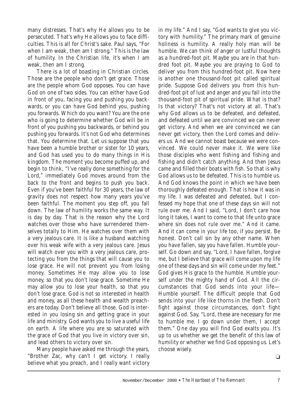many distresses. That's why He allows you to be persecuted. That's why He allows you to face difficulties. This is all for Christ's sake. Paul says, "For when I am weak, then am I strong." This is the law of humility. In the Christian life, it's when I am weak, then am I strong.

There is a lot of boasting in Christian circles. Those are the people who don't get grace. Those are the people whom God opposes. You can have God on one of two sides. You can either have God in front of you, facing you and pushing you backwards, or you can have God behind you, pushing you forwards. Which do you want? You are the one who is going to determine whether God will be in front of you pushing you backwards, or behind you pushing you forwards. It's not God who determines that. You determine that. Let us suppose that you have been a humble brother or sister for 10 years, and God has used you to do many things in His kingdom. The moment you become puffed up, and begin to think, "I've really done something for the Lord," immediately God moves around from the back to the front and begins to push you back. Even if you've been faithful for 30 years, the law of gravity does not respect how many years you've been faithful. The moment you step off, you fall down. The law of humility works the same way. It is day by day. That is the reason why the Lord watches over those who have surrendered themselves totally to Him. He watches over them with a very jealous care. It is like a husband watching over his weak wife with a very jealous care. Jesus will watch over you with a very jealous care, protecting you from the things that will cause you to lose grace. He will not prevent you from losing money. Sometimes He may allow you to lose money, so that you don't lose grace. Sometime He may allow you to lose your health, so that you don't lose grace. God is not so interested in health and money, as all these health and wealth preachers are today. Don't believe all those. God is interested in you losing sin and getting grace in your life and ministry. God wants you to live a useful life on earth. A life where you are so saturated with the grace of God that you live in victory over sin, and lead others to victory over sin.

Many people have asked me through the years, "Brother Zac, why can't I get victory. I really believe what you preach, and I really want victory in my life." And I say, "God wants to give you victory with humility." The primary mark of genuine holiness is humility. A really holy man will be humble. We can think of anger or lustful thoughts as a hundred-foot pit. Maybe you are in that hundred foot pit. Maybe you are praying to God to deliver you from this hundred-foot pit. Now here is another one thousand-foot pit called spiritual pride. Suppose God delivers you from this hundred-foot pit of lust and anger and you fall into the thousand-foot pit of spiritual pride. What is that? Is that victory? That's not victory at all. That's why God allows us to be defeated, and defeated, and defeated until we are convinced we can never get victory. And when we are convinced we can never get victory, then the Lord comes and delivers us. And we cannot boast because we were convinced. We could never make it. We were like those disciples who went fishing and fishing and fishing and didn't catch anything. And then Jesus came and filled their boats with fish. So that is why God allows us to be defeated. This is to humble us. And God knows the point in which we have been thoroughly defeated enough. That is how it was in my life. I was defeated and defeated, but I confessed my hope that one of these days sin will not rule over me. And I said, "Lord, I don't care how long it takes, I want to come to that life unto grace where sin does not rule over me." And it came. And it can come in your life too, if you persist. Be honest. Don't call sin by any other name. When you have fallen, say you have fallen. Humble yourself. Go down and say, "Lord, I have fallen, forgive me, but I believe that grace will come upon my life one of these days and sin will come under my feet." God gives His grace to the humble. Humble yourself under the mighty hand of God. All the circumstances that God sends into your life— Humble yourself. The difficult people that God sends into your life like thorns in the flesh. Don't fight against those circumstances, don't fight against God. Say, "Lord, these are necessary for me to humble me. I go down under them, I accept them." One day you will find God exalts you. It's up to us whether we get the benefit of this law of humility or whether we find God opposing us. Let's choose wisely.

❏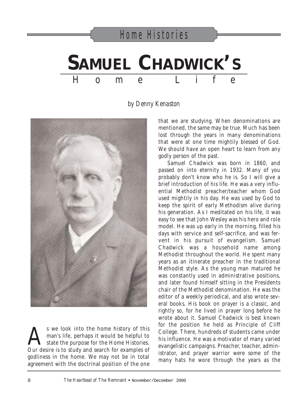### **SAMUEL CHADWICK'S** Home Life

#### *by Denny Kenaston*



S we look into the home history of this<br>man's life, perhaps it would be helpful to<br>state the purpose for the Home Histories. man's life, perhaps it would be helpful to state the purpose for the Home Histories. Our desire is to study and search for examples of godliness in the home. We may not be in total agreement with the doctrinal position of the one

that we are studying. When denominations are mentioned, the same may be true. Much has been lost through the years in many denominations that were at one time mightily blessed of God. We should have an open heart to learn from any godly person of the past.

Samuel Chadwick was born in 1860, and passed on into eternity in 1932. Many of you probably don't know who he is. So I will give a brief introduction of his life. He was a very influential Methodist preacher/teacher whom God used mightily in his day. He was used by God to keep the spirit of early Methodism alive during his generation. As I meditated on his life, it was easy to see that John Wesley was his hero and role model. He was up early in the morning, filled his days with service and self-sacrifice, and was fervent in his pursuit of evangelism. Samuel Chadwick was a household name among Methodist throughout the world. He spent many years as an itinerate preacher in the traditional Methodist style. As the young man matured he was constantly used in administrative positions, and later found himself sitting in the Presidents chair of the Methodist denomination. He was the editor of a weekly periodical, and also wrote several books. His book on prayer is a classic, and rightly so, for he lived in prayer long before he wrote about it. Samuel Chadwick is best known for the position he held as Principle of Cliff College. There, hundreds of students came under his influence. He was a motivator of many varied evangelistic campaigns. Preacher, teacher, administrator, and prayer warrior were some of the many hats he wore through the years as the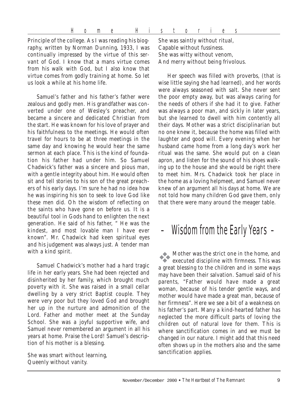Principle of the college. As I was reading his biography, written by Norman Dunning, 1933, I was continually impressed by the virtue of this servant of God. I know that a mans virtue comes from his walk with God, but I also know that virtue comes from godly training at home. So let us look a while at his home life.

Samuel's father and his father's father were zealous and godly men. His grandfather was converted under one of Wesley's preacher, and became a sincere and dedicated Christian from the start. He was known for his love of prayer and his faithfulness to the meetings. He would often travel for hours to be at three meetings in the same day and knowing he would hear the same sermon at each place. This is the kind of foundation his father had under him. So Samuel Chadwick's father was a sincere and pious man, with a gentle integrity about him. He would often sit and tell stories to his son of the great preachers of his early days. I'm sure he had no idea how he was inspiring his son to seek to love God like these men did. Oh the wisdom of reflecting on the saints who have gone on before us. It is a beautiful tool in Gods hand to enlighten the next generation. He said of his father, " He was the kindest, and most lovable man I have ever known". Mr. Chadwick had keen spiritual eyes and his judgement was always just. A tender man with a kind spirit.

Samuel Chadwick's mother had a hard tragic life in her early years. She had been rejected and disinherited by her family, which brought much poverty with it. She was raised in a small cellar dwelling by a very strict Baptist couple. They were very poor but they loved God and brought her up in the nurture and admonition of the Lord. Father and mother meet at the Sunday School. She was a joyful supportive wife, and Samuel never remembered an argument in all his years at home. Praise the Lord! Samuel's description of his mother is a blessing.

She was smart without learning, Queenly without vanity.

She was saintly without ritual, Capable without fussiness. She was witty without venom, And merry without being frivolous.

Her speech was filled with proverbs, (that is wise little saying she had learned), and her words were always seasoned with salt. She never sent the poor empty away, but was always caring for the needs of others if she had it to give. Father was always a poor man, and sickly in later years, but she learned to dwell with him contently all their days. Mother was a strict disciplinarian but no one knew it, because the home was filled with laughter and good will. Every evening when her husband came home from a long day's work her ritual was the same. She would put on a clean apron, and listen for the sound of his shoes walking up to the house and she would be right there to meet him. Mrs. Chadwick took her place in the home as a loving helpmeet, and Samuel never knew of an argument all his days at home. We are not told how many children God gave them, only that there were many around the meager table.

### – Wisdom from the Early Years –

"Mother was the strict one in the home, and executed discipline with firmness. This was a great blessing to the children and in some ways may have been their salvation. Samuel said of his parents, "Father would have made a great woman, because of his tender gentle ways, and mother would have made a great man, because of her firmness". Here we see a bit of a weakness on his father's part. Many a kind-hearted father has neglected the more difficult parts of loving the children out of natural love for them. This is where sanctification comes in and we must be changed in our nature. I might add that this need often shows up in the mothers also and the same sanctification applies.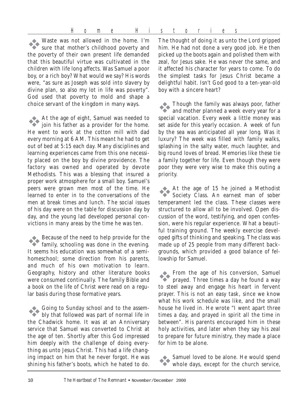Waste was not allowed in the home. I'm sure that mother's childhood poverty and the poverty of their own present life demanded that this beautiful virtue was cultivated in the children with life long affects. Was Samuel a poor boy, or a rich boy? What would we say? His words were, "as sure as Joseph was sold into slavery by divine plan, so also my lot in life was poverty". God used that poverty to mold and shape a choice servant of the kingdom in many ways.

"At the age of eight, Samuel was needed to join his father as a provider for the home. He went to work at the cotton mill with dad every morning at 6 AM. This meant he had to get out of bed at 5:15 each day. Many disciplines and learning experiences came from this one necessity placed on the boy by divine providence. The factory was owned and operated by devote Methodists. This was a blessing that insured a proper work atmosphere for a small boy. Samuel's peers were grown men most of the time. He learned to enter in to the conversations of the men at break times and lunch. The social issues of his day were on the table for discussion day by day, and the young lad developed personal convictions in many areas by the time he was ten.

"Because of the need to help provide for the family, schooling was done in the evening. It seems his education was somewhat of a semihomeschool; some direction from his parents, and much of his own motivation to learn. Geography, history and other literature books were consumed continually. The family Bible and a book on the life of Christ were read on a regular basis during those formative years.

"Going to Sunday school and to the assem-bly that followed was part of normal life in the Chadwick home. It was at an Anniversary service that Samuel was converted to Christ at the age of ten. Shortly after this God impressed him deeply with the challenge of doing everything as unto Jesus Christ. This had a life changing impact on him that he never forgot. He was shining his father's boots, which he hated to do. The thought of doing it as unto the Lord gripped him. He had not done a very good job. He then picked up the boots again and polished them with zeal, for Jesus sake. He was never the same, and it affected his character for years to come. To do the simplest tasks for Jesus Christ became a delightful habit. Isn't God good to a ten-year-old boy with a sincere heart?

Though the family was always poor, father and mother planned a week every year for a special vacation. Every week a little money was set aside for this yearly occasion. A week of fun by the sea was anticipated all year long. Was it luxury? The week was filled with family walks, splashing in the salty water, much laughter, and big round loves of bread. Memories like these tie a family together for life. Even though they were poor they were very wise to make this outing a priority.

"At the age of 15 he joined a Methodist Society Class. An earnest man of sober temperament led the class. These classes were structured to allow all to be involved. Open discussion of the word, testifying, and open confession, were his regular experience. What a beautiful training ground. The weekly exercise developed gifts of thinking and speaking. The class was made up of 25 people from many different backgrounds, which provided a good balance of fellowship for Samuel.

"From the age of his conversion, Samuel prayed. Three times a day he found a way to steel away and engage his heart in fervent prayer. This is not an easy task, since we know what his work schedule was like, and the small house he lived in. He wrote "I went apart three times a day, and prayed in spirit all the time in between". His parents encouraged him in these holy activities, and later when they say his zeal to prepare for future ministry, they made a place for him to be alone.

Samuel loved to be alone. He would spend whole days, except for the church service,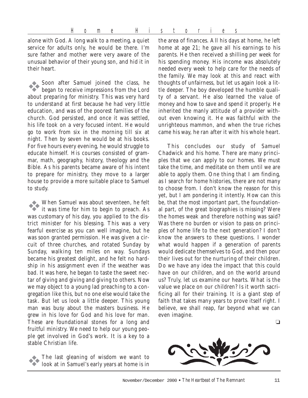alone with God. A long walk to a meeting, a quiet service for adults only, he would be there. I'm sure father and mother were very aware of the unusual behavior of their young son, and hid it in their heart.

Soon after Samuel joined the class, he began to receive impressions from the Lord about preparing for ministry. This was very hard to understand at first because he had very little education, and was of the poorest families of the church. God persisted, and once it was settled, his life took on a very focused intent. He would go to work from six in the morning till six at night. Then by seven he would be at his books. For five hours every evening, he would struggle to educate himself. His courses consisted of grammar, math, geography, history, theology and the Bible. As his parents became aware of his intent to prepare for ministry, they move to a larger house to provide a more suitable place to Samuel to study.

"When Samuel was about seventeen, he felt it was time for him to begin to preach. As was customary of his day, you applied to the district minister for his blessing. This was a very fearful exercise as you can well imagine, but he was soon granted permission. He was given a circuit of three churches, and rotated Sunday by Sunday, walking ten miles on way. Sundays became his greatest delight, and he felt no hardship in his assignment even if the weather was bad. It was here, he began to taste the sweet nectar of giving and giving and giving to others. Now we may object to a young lad preaching to a congregation like this, but no one else would take the task. But let us look a little deeper. This young man was busy about the masters business. He grew in his love for God and his love for man. These are foundational stones for a long and fruitful ministry. We need to help our young people get involved in God's work. It is a key to a stable Christian life.

"The last gleaning of wisdom we want to look at in Samuel's early years at home is in

the area of finances. All his days at home, he left home at age 21; he gave all his earnings to his parents. He then received a shilling per week for his spending money. His income was absolutely needed every week to help care for the needs of the family. We may look at this and react with thoughts of unfairness, but let us again look a little deeper. The boy developed the humble quality of a servant. He also learned the value of money and how to save and spend it properly. He inherited the manly attitude of a provider without even knowing it. He was faithful with the unrighteous mammon, and when the true riches came his way, he ran after it with his whole heart.

This concludes our study of Samuel Chadwick and his home. There are many principles that we can apply to our homes. We must take the time, and meditate on them until we are able to apply them. One thing that I am finding, as I search for home histories, there are not many to choose from. I don't know the reason for this yet, but I am pondering it intently. How can this be, that the most important part, the foundational part, of the great biographies is missing? Were the homes weak and therefore nothing was said? Was there no burden or vision to pass on principles of home life to the next generation? I don't know the answers to these questions. I wonder what would happen if a generation of parents would dedicate themselves to God, and then pour their lives out for the nurturing of their children. Do we have any idea the impact that this could have on our children, and on the world around us? Truly, let us examine our hearts. What is the value we place on our children? Is it worth sacrificing all for their training. It is a giant step of faith that takes many years to prove itself right. I believe, we shall reap, far beyond what we can even imagine.

❏

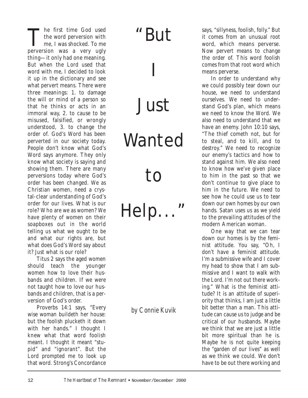The first time God used the word perversion with me, I was shocked. To me perversion was a very ugly thing—it only had one meaning. But when the Lord used that word with me, I decided to look it up in the dictionary and see what pervert means. There were three meanings: 1. to damage the will or mind of a person so that he thinks or acts in an immoral way, 2. to cause to be misused, falsified, or wrongly understood, 3. to change the order of. God's Word has been perverted in our society today. People don't know what God's Word says anymore. They only know what society is saying and showing them. There are many perversions today where God's order has been changed. We as Christian women, need a crystal-clear understanding of God's order for our lives. What is our role? Who are we as women? We have plenty of women on their soapboxes out in the world telling us what we ought to be and what our rights are, but what does God's Word say about it? Just what is our role?

Titus 2 says the aged women should teach the younger women how to love their husbands and children. If we were not taught how to love our husbands and children, that is a perversion of God's order.

Proverbs 14:1 says, "Every wise woman buildeth her house: but the foolish plucketh it down with her hands." I thought I knew what that word foolish meant. I thought it meant "stupid" and "ignorant". But the Lord prompted me to look up that word. Strong's Concordance

### "But

I Just

# Wanted

## to

Help..."

*by Connie Kuvik*

says, "sillyness, foolish, folly." But it comes from an unusual root word, which means perverse. Now pervert means to change the order of. This word foolish comes from that root word which means perverse.

In order to understand why we could possibly tear down our house, we need to understand ourselves. We need to understand God's plan, which means we need to know the Word. We also need to understand that we have an enemy. John 10:10 says, "The thief cometh not, but for to steal, and to kill, and to destroy." We need to recognize our enemy's tactics and how to stand against him. We also need to know how we've given place to him in the past so that we don't continue to give place to him in the future. We need to see how he could use us to tear down our own homes by our own hands. Satan uses us as we yield to the prevailing attitudes of the modern American woman.

One way that we can tear down our homes is by the feminist attitude. You say, "Oh, I don't have a feminist attitude. I'm a submissive wife and I cover my head to show that I am submissive and I want to walk with the Lord. I'm not out there working." What is the feminist attitude? It is an attitude of superiority that thinks, I am just a little bit better than a man. This attitude can cause us to judge and be critical of our husbands. Maybe we think that we are just a little bit more spiritual than he is. Maybe he is not quite keeping the "garden of our lives" as well as we think we could. We don't have to be out there working and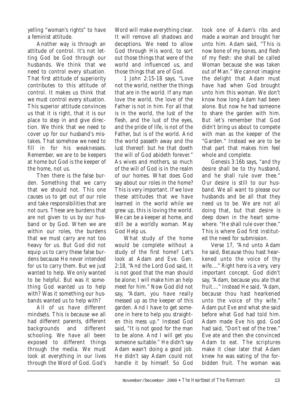yelling "woman's rights" to have a feminist attitude.

Another way is through an attitude of control. It's not letting God be God through our husbands. We think that we need to control every situation. That first attitude of superiority contributes to this attitude of control. It makes us think that we must control every situation. This superior attitude convinces us that it is right, that it is our place to step in and give direction. We think that we need to cover up for our husband's mistakes. That somehow we need to fill in for his weaknesses. Remember, we are to be keepers at home but God is the keeper of the home, not us.

Then there is the false burden. Something that we carry that we should not. This one causes us to get out of our role and take responsibilities that are not ours. These are burdens that are not given to us by our husband or by God. When we are within our roles, the burdens that we must carry are not too heavy for us. But God did not equip us to carry these false burdens because He never intended for us to carry them. But we just wanted to help. We only wanted to be helpful. But was it something God wanted us to help with? Was it something our husbands wanted us to help with?

All of us have different mindsets. This is because we all had different parents, different backgrounds and different schooling. We have all been exposed to different things through the media. We must look at everything in our lives through the Word of God. God's Word will make everything clear. It will remove all shadows and deceptions. We need to allow God through His word, to sort out those things that were of the world and influenced us, and those things that are of God.

1 John 2:15-18 says, "Love not the world, neither the things that are in the world. If any man love the world, the love of the Father is not in him. For all that is in the world, the lust of the flesh, and the lust of the eyes, and the pride of life, is not of the Father, but is of the world. And the world passeth away and the lust thereof: but he that doeth the will of God abideth forever." As wives and mothers, so much of the will of God is in the realm of our homes. What does God say about our roles in the home? This is very important. If we love these attitudes that we have learned in the world while we grew up, this is loving the world. We can be a keeper at home, and still be a worldly woman. May God Help us.

What study of the home would be complete without a study of the first home? Let's look at Adam and Eve. Gen. 2:18, "And the Lord God said, It is not good that the man should be alone; I will make him an help meet for him." Now God did not say, "Adam, you have really messed up as the keeper of this garden. And I have to get someone in here to help you straighten this mess up." Instead God said, "It is not good for the man to be alone. And I will get you someone suitable." He didn't say Adam wasn't doing a good job. He didn't say Adam could not handle it by himself. So God

took one of Adam's ribs and made a woman and brought her unto him. Adam said, "This is now bone of my bones, and flesh of my flesh: she shall be called Woman because she was taken out of Man." We cannot imagine the delight that Adam must have had when God brought unto him this woman. We don't know how long Adam had been alone. But now he had someone to share the garden with him. But let's remember that God didn't bring us about to compete with man as the keeper of the "Garden." Instead we are to be that part that makes him feel whole and complete.

Genesis 3:16b says, "and thy desire shall be to thy husband, and he shall rule over thee." Our desire is still to our husband. We all want to please our husbands and be all that they need us to be. We are not all doing that, but that desire is deep down in the heart somewhere. "He shall rule over thee." This is where God first instituted the need for submission.

Verse 17, "And unto Adam he said, Because thou hast hearkened unto the voice of thy wife...." Right here is a very, very important concept. God didn't say, "Adam, because you ate that fruit...." Instead He said, "Adam, because thou hast hearkened unto the voice of thy wife." Adam put Eve and what she said before what God had told him. Adam made Eve his god. God had said, "Don't eat of the tree." Eve ate and then she convinced Adam to eat. The scriptures make it clear later that Adam knew he was eating of the forbidden fruit. The woman was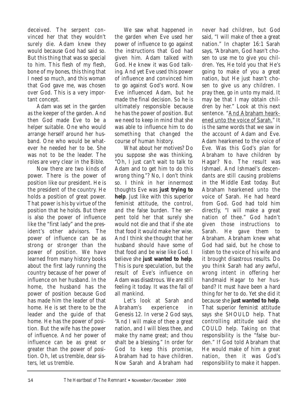deceived. The serpent convinced her that they wouldn't surely die. Adam knew they would because God had said so. But this thing that was so special to him. This flesh of my flesh, bone of my bones, this thing that I need so much, and this woman that God gave me, was chosen over God. This is a very important concept.

Adam was set in the garden as the keeper of the garden. And then God made Eve to be a helper suitable. One who would arrange herself around her husband. One who would be whatever he needed her to be. She was not to be the leader. The roles are very clear in the Bible.

Now there are two kinds of power. There is the power of position like our president. He is the president of the country. He holds a position of great power. That power is his by virtue of the position that he holds. But there is also the power of influence like the "first lady" and the president's other advisors. The power of influence can be as strong or stronger than the power of position. We have learned from many history books about the first lady running the country because of her power of influence on her husband. In the home, the husband has the power of position because God has made him the leader of that home. He is set there to be the leader and the guide of that home. He has the power of position. But the wife has the power of influence. And her power of influence can be as great or greater than the power of position. Oh, let us tremble, dear sisters, let us tremble.

We saw what happened in the garden when Eve used her power of influence to go against the instructions that God had given him. Adam talked with God. He knew it was God talking. And yet Eve used this power of influence and convinced him to go against God's word. Now Eve influenced Adam, but he made the final decision. So he is ultimately responsible because he has the power of position. But we need to keep in mind that she was able to influence him to do something that changed the course of human history.

What about her motives? Do you suppose she was thinking, "Oh, I just can't wait to talk to Adam and to get him to do this wrong thing."? No, I don't think so. I think in her innermost thoughts Eve was **just trying to help**. Just like with this superior feminist attitude, the control, and the false burden. The serpent told her that surely she would not die and that if she ate that food it would make her wise. And I think she thought that her husband should have some of that food and be wise like God. I believe she **just wanted to help**. This is pure speculation, but the result of Eve's influence on Adam was disastrous. We are still feeling it today. It was the fall of all mankind.

Let's look at Sarah and Abraham's experience in Genesis 12. In verse 2 God says, "And I will make of thee a great nation, and I will bless thee, and make thy name great; and thou shalt be a blessing." In order for God to keep this promise, Abraham had to have children. Now Sarah and Abraham had

never had children, but God said, "I will make of thee a great nation." In chapter 16:1 Sarah says, "Abraham, God hasn't chosen to use me to give you children. Yes, He told you that He's going to make of you a great nation, but He just hasn't chosen to give us any children. I pray thee, go in unto my maid. It may be that I may obtain children by her." Look at this next sentence. "And Abraham hearkened unto the voice of Sarah." It is the same words that we saw in the account of Adam and Eve. Adam hearkened to the voice of Eve. Was this God's plan for Abraham to have children by Hagar? No. The result was Ishmael. And Ishmael's descendants are still causing problems in the Middle East today. But Abraham hearkened unto the voice of Sarah. He had heard from God. God had told him directly, "I will make a great nation of thee." God hadn't given those instructions to Sarah. He gave them to Abraham. Abraham knew what God had said, but he chose to listen to the voice of his wife and it brought disastrous results. Do you think Sarah had any awful, wrong intent in offering her handmaid Hagar to her husband? It must have been a hard thing for her to do. Yet she did it because she **just wanted to help**. That superior feminist attitude says she SHOULD help. That controlling attitude said she COULD help. Taking on that responsibility is the "false burden." If God told Abraham that He would make of him a great nation, then it was God's responsibility to make it happen.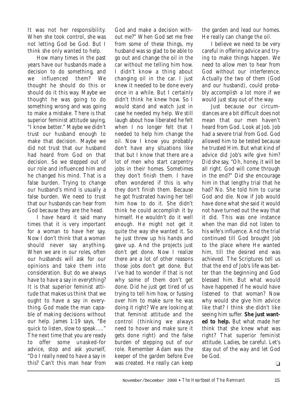It was not her responsibility. When she took control, she was not letting God be God. But I think she only wanted to help.

How many times in the past years have our husbands made a decision to do something, and we influenced them? We thought he should do this or should do it this way. Maybe we thought he was going to do something wrong and was going to make a mistake. There is that superior feminist attitude saying, "I know better." Maybe we didn't trust our husband enough to make that decision. Maybe we did not trust that our husband had heard from God on that decision. So we stepped out of our role and influenced him and he changed his mind. That is a false burden. Trying to change our husband's mind is usually a false burden. We need to trust that our husbands can hear from God because they are the head.

I have heard it said many times that it is very important for a woman to have her say. Now I don't think that a woman should never say anything. When we are in our roles, often our husbands will ask for our opinions and take them into consideration. But do we always have to have a say in everything? It is that superior feminist attitude that makes us think that we ought to have a say in everything. God made the man capable of making decisions without our help. James 1:19 says, "Be quick to listen, slow to speak....." The next time that you are ready to offer some unasked-for advice, stop and ask yourself, "Do I really need to have a say in this? Can't this man hear from

God and make a decision without me?" When God set me free from some of these things, my husband was so glad to be able to go out and change the oil in the car without me telling him how. I didn't know a thing about changing oil in the car. I just knew it needed to be done every once in a while. But I certainly didn't think he knew how. So I would stand and watch just in case he needed my help. We still laugh about how liberated he felt when I no longer felt that I needed to help him change the oil. Now I know you probably don't have any situations like that but I know that there are a lot of men who start carpentry jobs in their homes. Sometimes they don't finish them. I have often wondered if this is why they don't finish them. Because he got frustrated having her tell him how to do it. She didn't think he could accomplish it by himself. He wouldn't do it well enough. He might not get it quite the way she wanted it. So he just threw up his hands and gave up. And the projects just don't get done. Now I realize there are a lot of other reasons those jobs don't get done. But I've had to wonder if that is not why some of them don't get done. Did he just get tired of us trying to tell him how, or fussing over him to make sure he was doing it right? We are looking at that feminist attitude and the control (thinking we always need to hover and make sure it gets done right) and the false burden of stepping out of our role. Remember Adam was the keeper of the garden before Eve was created. He really can keep

the garden and lead our homes. He really can change the oil.

I believe we need to be very careful in offering advice and trying to make things happen. We need to allow men to hear from God without our interference. Actually the two of them (God and our husband), could probably accomplish a lot more if we would just stay out of the way.

Just because our circumstances are a bit difficult does not mean that our men haven't heard from God. Look at Job. Job had a severe trial from God. God allowed him to be tested because he trusted Him. But what kind of advice did Job's wife give him? Did she say, "Oh, honey, it will be all right. God will come through in the end?" Did she encourage him in that lengthy trial that he had? No. She told him to curse God and die. Now if Job would have done what she said it would not have turned out the way that it did. This was one instance when the man did not listen to his wife's influence. And the trial continued till God brought Job to the place where He wanted him, till the desired end was achieved. The Scriptures tell us that the end of Job's life was better than the beginning and God blessed him. But what would have happened if he would have listened to that woman? Now why would she give him advice like that? I think she didn't like seeing him suffer. **She just wanted to help.** But what made her think that she knew what was right? That superior feminist attitude. Ladies, be careful. Let's stay out of the way and let God be God.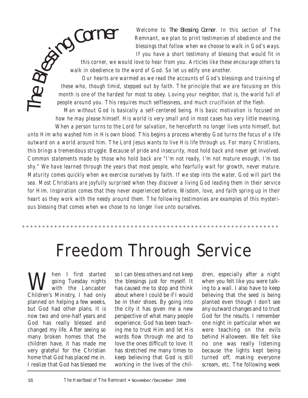*Welcome to* The Blessing Corner*. In this section of* The Remnant*, we plan to print testimonies of obedience and the blessings that follow when we choose to walk in God's ways. If you have a short testimony of blessing that would fit in*

*this corner, we would love to hear from you. Articles like these encourage others to walk in obedience to the word of God. So let us edify one another.*  **Corner**<br>this corner, we<br>walk in obedience to<br>Our hearts are

The

*Our hearts are warmed as we read the accounts of God's blessings and training of these who, though timid, stepped out by faith. The principle that we are focusing on this month is one of the hardest for most to obey. Loving your neighbor, that is, the world full of people around you. This requires much selflessness, and much crucifixion of the flesh.*

*Man without God is basically a self-centered being. His basic motivation is focused on how he may please himself. His world is very small and in most cases has very little meaning.*

*When a person turns to the Lord for salvation, he henceforth no longer lives unto himself, but unto Him who washed him in His own blood. This begins a process whereby God turns the focus of a life outward on a world around him. The Lord Jesus wants to live His life through us. For many Christians, this brings a tremendous struggle. Because of pride and insecurity, most hold back and never get involved. Common statements made by those who hold back are "I'm not ready, I'm not mature enough, I'm too shy." We have learned through the years that most people, who fearfully wait for growth, never mature. Maturity comes quickly when we exercise ourselves by faith. If we step into the water, God will part the sea. Most Christians are joyfully surprised when they discover a living God leading them in their service for Him. Inspiration comes that they never experienced before. Wisdom, love, and faith spring up in their heart as they work with the needy around them. The following testimonies are examples of this mysterious blessing that comes when we chose to no longer live unto ourselves.*

## Freedom Through Service

Weing Tuesday nights<br>with the Lancaster<br>Children's Ministry, I had only going Tuesday nights with the Lancaster Children's Ministry, I had only planned on helping a few weeks, but God had other plans. It is now two and one-half years and God has really blessed and changed my life. After seeing so many broken homes that the children have, it has made me very grateful for the Christian home that God has placed me in. I realize that God has blessed me

so I can bless others and not keep the blessings just for myself. It has caused me to stop and think about where I could be if I would be in their shoes. By going into the city it has given me a new perspective of what many people experience. God has been teaching me to trust Him and let His words flow through me and to love the ones difficult to love. It has stretched me many times to keep believing that God is still working in the lives of the chil-

dren, especially after a night when you felt like you were talking to a wall. I also have to keep believing that the seed is being planted even though I don't see any outward changes and to trust God for the results. I remember one night in particular when we were teaching on the evils behind Halloween. We felt like no one was really listening because the lights kept being turned off, making everyone scream, etc. The following week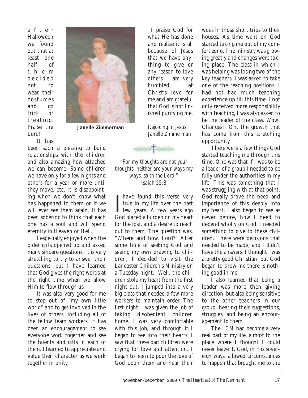after Halloween we found out that at least one half of them decided not to wear their costumes and go trick or treating. Praise the Lord!



**Janelle Zimmerman**

It has

been such a blessing to build relationships with the children and also amazing how attached we can become. Some children we have only for a few nights and others for a year or more until they move, etc. It is disappointing when we don't know what has happened to them or if we will ever see them again. It has been sobering to think that each one has a soul and will spend eternity in Heaven or Hell.

I especially enjoyed when the older girls opened up and asked many sincere questions. It is very stretching to try to answer their questions, but I have learned that God gives the right words at the right time when we allow Him to flow through us.

It was also very good for me to step out of "my own little world" and to get involved in the lives of others, including all of the fellow team workers. It has been an encouragement to see everyone work together and see the talents and gifts in each of them. I learned to appreciate and value their character as we work together in unity.

I praise God for what He has done and realize it is all because of Jesus that we have anything to give or any reason to love others. I am very humbled at Christ's love for me and am grateful that God is not finished purifying me.

*Rejoicing in Jesus! Janelle Zimmerman*



*"For my thoughts are not your thoughts, neither are your ways my ways, saith the Lord." Isaiah 55:8*

Thave found this verse very<br>true in my life over the past<br>few years. A few years ago have found this verse very true in my life over the past God placed a burden on my heart for the lost, and a desire to reach out to them. The question was, "Where and how, Lord?" After some time of seeking God and seeing my own drawing to children, I decided to visit the Lancaster Children's Ministry on a Tuesday night. Well, the children stole my heart from the first night out. I jumped into a very big class that needed a few more workers to maintain order. The first night, I was given the job of taking disobedient children home. I was very comfortable with this job, and through it I began to see into their hearts. I saw that these bad children were crying for love and attention. I began to learn to pour the love of God upon them and hear their

woes in those short trips to their houses. As time went on God started taking me out of my comfort zone. The ministry was growing greatly and changes were taking place. The class in which I was helping was losing two of the key teachers. I was asked to take one of the teaching positions. I had not had much teaching experience up till this time. I not only received more responsibility with teaching, I was also asked to be the leader of the class. Wow! Changes!! Oh, the growth that has come from this stretching opportunity.

There were a few things God started teaching me through this time. One was that if I was to be a leader of a group I needed to be fully under the authorities in my life. This was something that I was struggling with at that point. God really drove the need and importance of this deeply into my heart. I also began to see as never before, how I need to depend wholly on God. I needed something to give to these children. There were decisions that needed to be made, and I didn't have the answers. I thought I was a pretty good Christian, but God began to show me there is nothing good in me.

I also learned that being a leader was more then giving direction, but also being sensitive to the other teachers in our group, hearing their suggestions, struggles, and being an encouragement to them.

The LCM had become a very real part of my life, almost to the place where I thought I could never leave it. God, in His sovereign ways, allowed circumstances to happen that brought me to the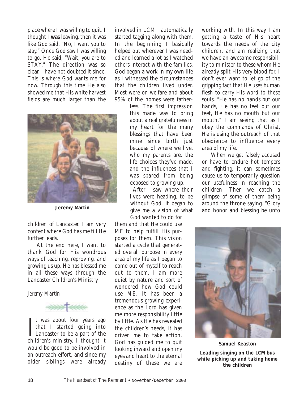place where I was willing to quit. I thought I **was** leaving, then it was like God said, "No, I want you to stay." Once God saw I was willing to go, He said, "Wait, you are to STAY." The direction was so clear. I have not doubted it since. This is where God wants me for now. Through this time He also showed me that His white harvest fields are much larger than the



**Jeremy Martin**

children of Lancaster. I am very content where God has me till He further leads.

At the end here, I want to thank God for His wondrous ways of teaching, reproving, and growing us up. He has blessed me in all these ways through the Lancaster Children's Ministry.

*Jeremy Martin*



It was about four years ago<br>that I started going into<br>Lancaster to be a part of the t was about four years ago that I started going into children's ministry. I thought it would be good to be involved in an outreach effort, and since my older siblings were already involved in LCM I automatically started tagging along with them. In the beginning I basically helped out wherever I was needed and learned a lot as I watched others interact with the families. God began a work in my own life as I witnessed the circumstances that the children lived under. Most were on welfare and about 95% of the homes were father-

less. The first impression this made was to bring about a real gratefulness in my heart for the many blessings that have been mine since birth just because of where we live, who my parents are, the life choices they've made, and the influences that I was spared from being exposed to growing up.

After I saw where their lives were heading, to be without God, it began to give me a vision of what God wanted to do for

them and that He could use ME to help fulfill His purposes for them. This vision started a cycle that generated overall purpose in every area of my life as I began to come out of myself to reach out to them. I am more quiet by nature and sort of wondered how God could use ME. It has been a tremendous growing experience as the Lord has given me more responsibility little by little. As He has revealed the children's needs, it has driven me to take action. God has guided me to quit looking inward and open my eyes and heart to the eternal destiny of these we are

working with. In this way I am getting a taste of His heart towards the needs of the city children, and am realizing that we have an awesome responsibility to minister to these whom He already spilt His very blood for. I don't ever want to let go of the gripping fact that He uses human flesh to carry His word to these souls. "He has no hands but our hands, He has no feet but our feet, He has no mouth but our mouth." I am seeing that as I obey the commands of Christ, He is using the outreach of that obedience to influence every area of my life.

When we get falsely accused or have to endure hot tempers and fighting, it can sometimes cause us to temporarily question our usefulness in reaching the children. Then we catch a glimpse of some of them being around the throne saying, "Glory and honor and blessing be unto



**Samuel Keaston** *Leading singing on the LCM bus while picking up and taking home the children*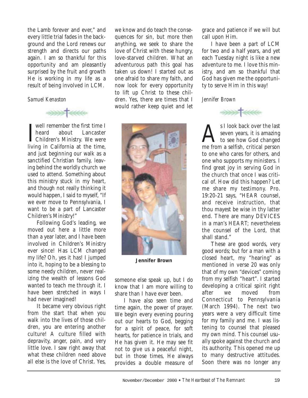the Lamb forever and ever," and every little trial fades in the background and the Lord renews our strength and directs our paths again. I am so thankful for this opportunity and am pleasantly surprised by the fruit and growth He is working in my life as a result of being involved in LCM.

#### *Samuel Kenaston*



I well remember the first time I<br>heard about Lancaster<br>Children's Ministry. We were well remember the first time I heard about Lancaster living in California at the time, and just beginning our walk as a sanctified Christian family, leaving behind the worldly church we used to attend. Something about this ministry stuck in my heart, and though not really thinking it would happen, I said to myself, "If we ever move to Pennsylvania, I want to be a part of Lancaster Children's Ministry!"

Following God's leading, we moved out here a little more than a year later, and I have been involved in Children's Ministry ever since! Has LCM changed my life? Oh, yes it has! I jumped into it, hoping to be a blessing to some needy children, never realizing the wealth of lessons God wanted to teach me through it. I have been stretched in ways I had never imagined!

It became very obvious right from the start that when you walk into the lives of those children, you are entering another culture! A culture filled with depravity, anger, pain, and very little love. I saw right away that what these children need above all else is the love of Christ. Yes,

we know and do teach the consequences for sin, but more then anything, we seek to share the love of Christ with these hungry, love-starved children. What an adventurous path this goal has taken us down! I started out as one afraid to share my faith, and now look for every opportunity to lift up Christ to these children. Yes, there are times that I would rather keep quiet and let



**Jennifer Brown**

someone else speak up, but I do know that I am more willing to share than I have ever been.

I have also seen time and time again, the power of prayer. We begin every evening pouring out our hearts to God, begging for a spirit of peace, for soft hearts, for patience in trials, and He has given it. He may see fit not to give us a peaceful night, but in those times, He always provides a double measure of

grace and patience if we will but call upon Him.

I have been a part of LCM for two and a half years, and yet each Tuesday night is like a new adventure to me. I love this ministry, and am so thankful that God has given me the opportunity to serve Him in this way!

#### *Jennifer Brown*



SI look back over the last<br>seven years, it is amazing<br>to see how God changed seven years, it is amazing me from a selfish, critical person to one who cares for others, and one who supports my ministers. I find great joy in serving God in the church that once I was critical of. How did this happen? Let me share my testimony. Pro. 19:20-21 says, "HEAR counsel, and receive instruction, that thou mayest be wise in thy latter end. There are many DEVICES in a man's HEART; nevertheless the counsel of the Lord, that shall stand."

These are good words, very good words; but for a man with a closed heart, my "hearing" as mentioned in verse 20 was only that of my own "devices" coming from my selfish "heart". I started developing a critical spirit right after we moved from Connecticut to Pennsylvania (March 1994). The next two years were a very difficult time for my family and me. I was listening to counsel that pleased my own mind. This counsel usually spoke against the church and its authority. This opened me up to many destructive attitudes. Soon there was no longer any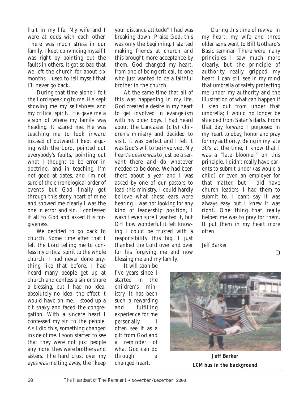fruit in my life. My wife and I were at odds with each other. There was much stress in our family. I kept convincing myself I was right by pointing out the faults in others. It got so bad that we left the church for about six months. I used to tell myself that I'll never go back.

During that time alone I felt the Lord speaking to me. He kept showing me my selfishness and my critical spirit. He gave me a vision of where my family was heading. It scared me. He was teaching me to look inward instead of outward. I kept arguing with the Lord, pointed out everybody's faults, pointing out what I thought to be error in doctrine, and in teaching. I'm not good at dates, and I'm not sure of the chronological order of events but God finally got through this stony heart of mine and showed me clearly I was the one in error and sin. I confessed it all to God and asked His forgiveness.

We decided to go back to church. Some time after that I felt the Lord telling me to confess my critical spirit to the whole church. I had never done anything like that before. I had heard many people get up at church and confess a sin or share a blessing, but I had no idea, absolutely no idea, the effect it would have on me. I stood up a bit shaky and faced the congregation. With a sincere heart I confessed my sin to the people. As I did this, something changed inside of me. I soon started to see that they were not just people any more, they were brothers and sisters. The hard crust over my eyes was melting away, the "keep

your distance attitude" I had was breaking down. Praise God, this was only the beginning. I started making friends at church and this brought more acceptance by them. God changed my heart, from one of being critical, to one who just wanted to be a faithful brother in the church.

At the same time that all of this was happening in my life, God created a desire in my heart to get involved in evangelism with my older boys. I had heard about the Lancaster (city) children's ministry and decided to visit. It was perfect and I felt it was God's will to be involved. My heart's desire was to just be a servant there and do whatever needed to be done. We had been there about a year and I was asked by one of our pastors to lead this ministry. I could hardly believe what these ears were hearing. I was not looking for any kind of leadership position, I wasn't even sure I wanted it, but OH how wonderful it felt knowing I could be trusted with a responsibility this big. I just thanked the Lord over and over for his forgiving me and now blessing me and my family.

It will soon be five years since I started in the children's ministry. It has been such a rewarding and fulfilling experience for me personally. I often see it as a gift from God and a reminder of what God can do through a changed heart.

During this time of revival in my heart, my wife and three older sons went to Bill Gothard's Basic seminar. There were many principles I saw much more clearly, but the principle of authority really gripped my heart. I can still see in my mind that umbrella of safety protecting me under my authority and the illustration of what can happen if I step out from under that umbrella; I would no longer be shielded from Satan's darts. From that day forward I purposed in my heart to obey, honor and pray for my authority. Being in my late 30's at the time, I know that I was a "late bloomer" on this principle. I didn't really have parents to submit under (as would a child) or even an employer for that matter, but I did have church leaders. I had them to submit to. I can't say it was always easy but I knew it was right. One thing that really helped me was to pray for them. It put them in my heart more often.

Jeff Barker





**Jeff Barker** *LCM bus in the background*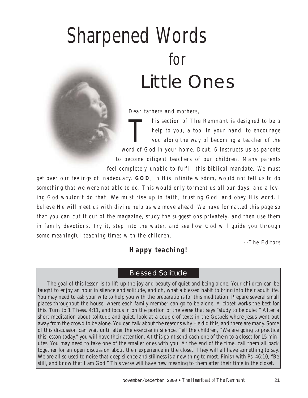# Sharpened Words for Little Ones

*Dear fathers and mothers,*

*This section of The Remnant is designed to be a*<br>*help to you, a tool in your hand, to encourage*<br>*you along the way of becoming a teacher of the help to you, a tool in your hand, to encourage you along the way of becoming a teacher of the word of God in your home. Deut. 6 instructs us as parents to become diligent teachers of our children. Many parents feel completely unable to fulfill this biblical mandate. We must*

*get over our feelings of inadequacy. GOD, in His infinite wisdom, would not tell us to do something that we were not able to do. This would only torment us all our days, and a loving God wouldn't do that. We must rise up in faith, trusting God, and obey His word. I believe He will meet us with divine help as we move ahead. We have formatted this page so that you can cut it out of the magazine, study the suggestions privately, and then use them in family devotions. Try it, step into the water, and see how God will guide you through some meaningful teaching times with the children.*

*--The Editors*

#### *Happy teaching!*

#### Blessed Solitude

The goal of this lesson is to lift up the joy and beauty of quiet and being alone. Your children can be taught to enjoy an hour in silence and solitude, and oh, what a blessed habit to bring into their adult life. You may need to ask your wife to help you with the preparations for this meditation. Prepare several small places throughout the house, where each family member can go to be alone. A closet works the best for this. Turn to 1 Thess. 4:11, and focus in on the portion of the verse that says "study to be quiet." After a short meditation about solitude and quiet, look at a couple of texts in the Gospels where Jesus went out away from the crowd to be alone. You can talk about the reasons why He did this, and there are many. Some of this discussion can wait until after the exercise in silence. Tell the children, "We are going to practice this lesson today," you will have their attention. At this point send each one of them to a closet for 15 minutes. You may need to take one of the smaller ones with you. At the end of the time, call them all back together for an open discussion about their experience in the closet. They will all have something to say. We are all so used to noise that deep silence and stillness is a new thing to most. Finish with Ps. 46:10, "Be still, and know that I am God." This verse will have new meaning to them after their time in the closet.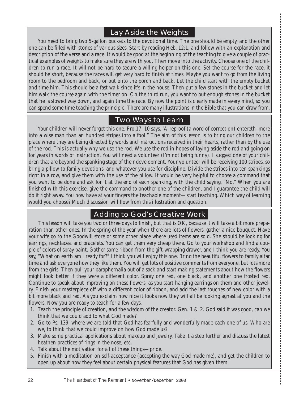#### Lay Aside the Weights

You need to bring two 5-gallon buckets to the devotional time. The one should be empty, and the other one can be filled with stones of various sizes. Start by reading Heb. 12:1, and follow with an explanation and description of the verse and a race. It would be good at the beginning of the teaching to give a couple of practical examples of weights to make sure they are with you. Then move into the activity. Choose one of the children to run a race. It will not be hard to secure a willing helper on this one. Set the course for the race, it should be short, because the races will get very hard to finish at times. Maybe you want to go from the living room to the bedroom and back, or out onto the porch and back. Let the child start with the empty bucket and time him. This should be a fast walk since it's in the house. Then put a few stones in the bucket and let him walk the course again with the timer on. On the third run, you want to put enough stones in the bucket that he is slowed way down, and again time the race. By now the point is clearly made in every mind, so you can spend some time teaching the principle. There are many illustrations in the Bible that you can draw from.

#### Two Ways to Learn

Your children will never forget this one. Pro.17: 10 says, "A reproof (a word of correction) entereth more into a wise man than an hundred stripes into a fool." The aim of this lesson is to bring our children to the place where they are being directed by words and instructions received in their hearts, rather than by the use of the rod. This is actually why we use the rod. We use the rod in hopes of laying aside the rod and going on for years in words of instruction. You will need a volunteer (I'm not being funny). I suggest one of your children that are beyond the spanking stage of their development. Your volunteer will be receiving 100 stripes, so bring a pillow to family devotions, and whatever you use for discipline. Divide the stripes into ten spankings right in a row, and give them with the use of the pillow. It would be very helpful to choose a command that you want to be done and ask for it at the end of each spanking, with the child saying, "No." When you are finished with this exercise, give the command to another one of the children, and I guarantee the child will do it right away. You now have at your fingers the teachable moment—start teaching. Which way of learning would you choose? Much discussion will flow from this illustration and question.

#### Adding to God's Creative Work

This lesson will take you two or three days to finish, but that is OK, because it will take a bit more preparation than other ones. In the spring of the year when there are lots of flowers, gather a nice bouquet. Have your wife go to the Goodwill store or some other place where used items are sold. She should be looking for earrings, necklaces, and bracelets. You can get them very cheap there. Go to your workshop and find a couple of colors of spray paint. Gather some ribbon from the gift-wrapping drawer, and I think you are ready. You say, "What on earth am I ready for?" I think you will enjoy this one. Bring the beautiful flowers to family altar time and ask everyone how they like them. You will get lots of positive comments from everyone, but lots more from the girls. Then pull your paraphernalia out of a sack and start making statements about how the flowers might look better if they were a different color. Spray one red, one black, and another one frosted red. Continue to speak about improving on these flowers, as you start hanging earrings on them and other jewelry. Finish your masterpiece off with a different color of ribbon, and add the last touches of new color with a bit more black and red. As you exclaim how nice it looks now they will all be looking aghast at you and the flowers. Now you are ready to teach for a few days.

- 1. Teach the principle of creation, and the wisdom of the creator. Gen. 1 & 2. God said it was good, can we think that we could add to what God made?
- 2. Go to Ps. 139, where we are told that God has fearfully and wonderfully made each one of us. Who are we, to think that we could improve on how God made us?
- 3. Make some practical applications about makeup and jewelry. Take it a step further and discuss the latest heathen practices of rings in the nose, etc.
- 4. Talk about the motivation for all of these things—pride.
- 5. Finish with a meditation on self-acceptance (accepting the way God made me), and get the children to open up about how they feel about certain physical features that God has given them.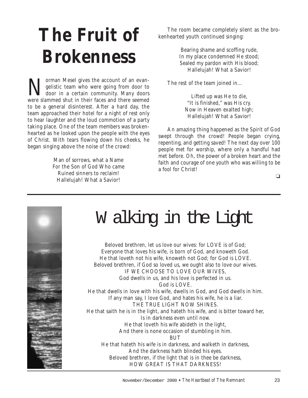# **The Fruit of Brokenness**

Norman Mesel gives the account of an evan-<br>gelistic team who were going from door to<br>door in a certain community. Many doors gelistic team who were going from door to door in a certain community. Many doors were slammed shut in their faces and there seemed to be a general disinterest. After a hard day, the team approached their hotel for a night of rest only to hear laughter and the loud commotion of a party taking place. One of the team members was brokenhearted as he looked upon the people with the eyes of Christ. With tears flowing down his cheeks, he began singing above the noise of the crowd:

> Man of sorrows, what a Name For the Son of God Who came Ruined sinners to reclaim! Hallelujah! What a Savior!

The room became completely silent as the brokenhearted youth continued singing:

> Bearing shame and scoffing rude, In my place condemned He stood; Sealed my pardon with His blood; Hallelujah! What a Savior!

The rest of the team joined in…

Lifted up was He to die, "It is finished," was His cry. Now in Heaven exalted high; Hallelujah! What a Savior!

An amazing thing happened as the Spirit of God swept through the crowd! People began crying, repenting, and getting saved! The next day over 100 people met for worship, where only a handful had met before. Oh, the power of a broken heart and the faith and courage of one youth who was willing to be a fool for Christ!



### W alking in the Light

Beloved brethren, let us love our wives: for LOVE is of God; Everyone that loves his wife, is born of God, and knoweth God. He that loveth not his wife, knoweth not God; for God is LOVE. Beloved brethren, if God so loved us, we ought also to love our wives. IF WE CHOOSE TO LOVE OUR WIVES, God dwells in us, and his love is perfected in us. God is LOVE. He that dwells in love with his wife, dwells in God, and God dwells in him. If any man say, I love God, and hates his wife, he is a liar. THE TRUE LIGHT NOW SHINES. He that saith he is in the light, and hateth his wife, and is bitter toward her, Is in darkness even until now. He that loveth his wife abideth in the light, And there is none occasion of stumbling in him. **BUT** He that hateth his wife is in darkness, and walketh in darkness, And the darkness hath blinded his eyes. Beloved brethren, if the light that is in thee be darkness, HOW GREAT IS THAT DARKNESS!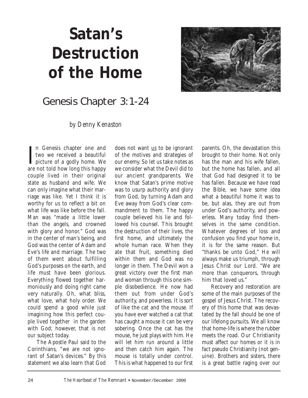## **Satan's Destruction of the Home**



### *Genesis Chapter 3:1-24*

*by Denny Kenaston*

In Genesis chapter one and<br>two we received a beautiful<br>picture of a godly home. We<br>are not told how long this happy n Genesis chapter one and two we received a beautiful picture of a godly home. We couple lived in their original state as husband and wife. We can only imagine what their marriage was like. Yet I think it is worthy for us to reflect a bit on what life was like before the fall. Man was "made a little lower than the angels, and crowned with glory and honor." God was in the center of man's being, and God was the center of Adam and Eve's life and marriage. The two of them went about fulfilling God's purposes on the earth, and life must have been glorious. Everything flowed together harmoniously and doing right came very naturally. Oh, what bliss, what love, what holy order. We could spend a good while just imagining how this perfect couple lived together in the garden with God; however, that is not our subject today.

The Apostle Paul said to the Corinthians, "we are not ignorant of Satan's devices." By this statement we also learn that God

does not want us to be ignorant of the motives and strategies of our enemy. So let us take notes as we consider what the Devil did to our ancient grandparents. We know that Satan's prime motive was to usurp authority and glory from God, by turning Adam and Eve away from God's clear commandment to them. The happy couple believed his lie and followed his counsel. This brought the destruction of their lives, the first home, and ultimately the whole human race. When they ate that fruit, something died within them and God was no longer in them. The Devil won a great victory over the first man and woman through this one simple disobedience. He now had them out from under God's authority, and powerless. It is sort of like the cat and the mouse. If you have ever watched a cat that has caught a mouse it can be very sobering. Once the cat has the mouse, he just plays with him. He will let him run around a little and then catch him again. The mouse is totally under control. This is what happened to our first

parents. Oh, the devastation this brought to their home. Not only has the man and his wife fallen, but the home has fallen, and all that God had designed it to be has fallen. Because we have read the Bible, we have some idea what a beautiful home it was to be, but alas, they are out from under God's authority, and powerless. Many today find themselves in the same condition. Whatever degrees of loss and confusion you find your home in, it is for the same reason. But "thanks be unto God," He will always make us triumph, through Jesus Christ our Lord. "We are more than conquerors, through him that loved us."

Recovery and restoration are some of the main purposes of the gospel of Jesus Christ. The recovery of this home that was devastated by the fall should be one of our lifelong pursuits. We all know that home-life is where the rubber meets the road. Our Christianity must affect our homes or it is in fact pseudo Christianity (not genuine). Brothers and sisters, there is a great battle raging over our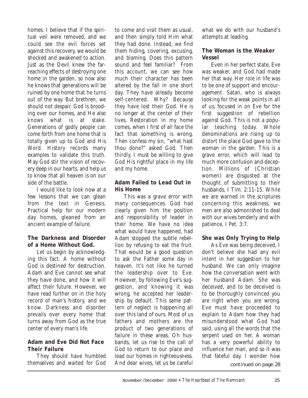homes. I believe that if the spiritual veil were removed, and we could see the evil forces set against this recovery, we would be shocked and awakened to action. Just as the Devil knew the farreaching effects of destroying one home in the garden, so now also he knows that generations will be ruined by one home that he turns out of the way. But brethren, we should not despair. God is brooding over our homes, and He also knows what is at stake. Generations of godly people can come forth from one home that is totally given up to God and His Word. History records many examples to validate this truth. May God stir the vision of recovery deep in our hearts, and help us to know that all heaven is on our side of the battle.

I would like to look now at a few lessons that we can glean from the text in Genesis. Practical help for our modern day homes, gleaned from an ancient example of failure.

#### **The Darkness and Disorder of a Home Without God.**

Let us begin by acknowledging this fact. A home without God is destined for destruction. Adam and Eve cannot see what they have done, and how it will affect their future. However, we have read further on in the holy record of man's history, and we know. Darkness and disorder prevails over every home that turns away from God as the true center of every man's life.

#### **Adam and Eve Did Not Face Their Failure**

They should have humbled themselves and waited for God to come and visit them as usual, and then simply told Him what they had done. Instead, we find them hiding, covering, excusing, and blaming. Does this pattern sound and feel familiar? From this account, we can see how much their character has been altered by the fall in one short day. They have already become self-centered. Why? Because they have lost their God. He is no longer at the center of their lives. Restoration in my home comes, when I first of all face the fact that something is wrong. Then confess my sin, "what hast thou done?" asked God. Then thirdly, I must be willing to give God His rightful place in my life and my home.

#### **Adam Failed to Lead Out in His Home**

This was a grave error with many consequences. God had clearly given him the position and responsibility of leader in their home. We have no idea what would have happened, had Adam stopped the subtle rebellion by refusing to eat the fruit. That would be a good question to ask the Father some day in heaven. It's not like he turned the leadership over to Eve. However, by following Eve's suggestion, and knowing it was wrong, he accepted her leadership by default. This same pattern of neglect is happening all over this land of ours. Most of us fathers and mothers are the product of two generations of failure in these areas. Oh husbands, let us rise to the call of God to return to our place and lead our homes in righteousness. And dear wives, let us be careful what we do with our husband's attempts at leading.

#### **The Woman is the Weaker Vessel**

Even in her perfect state, Eve was weaker, and God had made her that way. Her role in life was to be one of support and encouragement. Satan, who is always looking for the weak points in all of us, focused in on Eve for the first suggestion of rebellion against God. This is not a popular teaching today. Whole denominations are rising up to distort the place God gave to the woman in the garden. This is a grave error, which will lead to much more confusion and deception. Millions of (Christian women) are disgusted at the thought of submitting to their husbands, I Tim. 2:11-15. While we are warned in the scriptures concerning this weakness, we men are also admonished to deal with our wives tenderly and with patience, I Pet. 3:7.

#### **She was Only Trying to Help**

As Eve was being deceived, I don't believe she had any evil intent in her suggestion to her husband. We can only imagine how the conversation went with her husband Adam. She was deceived, and to be deceived is to be thoroughly convinced you are right when you are wrong. Eve must have proceeded to explain to Adam how they had misunderstood what God had said, using all the words that the serpent used on her. A woman has a very powerful ability to influence her man, and so it was that fateful day. I wonder how

*continued on page 28*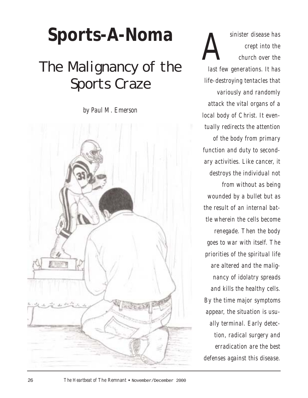# **Sports-A-Noma**

### *The Malignancy of the Sports Craze*

*by Paul M. Emerson*



*Asinister disease has*<br>*Crept into the*<br>*Church over the crept into the church over the last few generations. It has life-destroying tentacles that variously and randomly attack the vital organs of a local body of Christ. It eventually redirects the attention of the body from primary function and duty to secondary activities. Like cancer, it destroys the individual not from without as being wounded by a bullet but as the result of an internal battle wherein the cells become renegade. Then the body goes to war with itself. The priorities of the spiritual life are altered and the malignancy of idolatry spreads and kills the healthy cells. By the time major symptoms appear, the situation is usually terminal. Early detection, radical surgery and erradication are the best defenses against this disease.*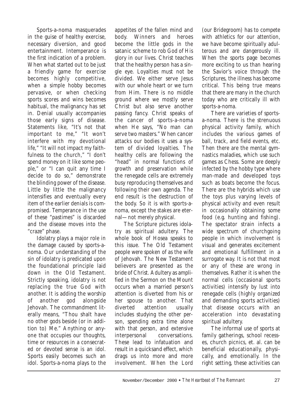Sports-a-noma masquerades in the guise of healthy exercise, necessary diversion, and good entertainment. Intemperance is the first indication of a problem. When what started out to be just a friendly game for exercise becomes highly competitive, when a simple hobby becomes pervasive, or when checking sports scores and wins becomes habitual, the malignancy has set in. Denial usually accompanies those early signs of disease. Statements like, "It's not that important to me," "It won't interfere with my devotional life," "It will not impact my faithfulness to the church," "I don't spend money on it like some people," or "I can quit any time I decide to do so," demonstrate the blinding power of the disease. Little by little the malignancy intensifies and eventually every item of the earlier denials is compromised. Temperance in the use of these "pastimes" is discarded and the disease moves into the "craze" phase.

Idolatry plays a major role in the damage caused by sports-anoma. Our understanding of the sin of idolatry is predicated upon the foundational principle laid down in the Old Testament. Strictly speaking, idolatry is not replacing the true God with another. It is adding the worship of another god alongside Jehovah. The commandment literally means, "Thou shalt have no other gods beside (or in addition to) Me." Anything or anyone that occupies our thoughts, time or resources in a consecrated or devoted sense is an idol. Sports easily becomes such an idol. Sports-a-noma plays to the

appetites of the fallen mind and body. Winners and heroes become the little gods in the satanic scheme to rob God of His glory in our lives. Christ teaches that the healthy person has a single eye. Loyalties must not be divided. We either serve Jesus with our whole heart or we turn from Him. There is no middle ground where we mostly serve Christ but also serve another passing fancy. Christ speaks of the cancer of sports-a-noma when He says, "No man can serve two masters." When cancer attacks our bodies it uses a system of divided loyalties. The healthy cells are following the "head" in normal functions of growth and preservation while the renegade cells are extremely busy reproducing themselves and following their own agenda. The end result is the destruction of the body. So it is with sports-anoma, except the stakes are eternal—not merely physical.

The Scripture pictures idolatry as spiritual adultery. The whole book of Hosea speaks to this issue. The Old Testament people were spoken of as the wife of Jehovah. The New Testament believers are presented as the bride of Christ. Adultery as amplified in the Sermon on the Mount occurs when a married person's attention is diverted from his or her spouse to another. That diverted attention usually includes studying the other person, spending extra time alone with that person, and extensive interpersonal conversations. These lead to infatuation and result in a quicksand effect, which drags us into more and more involvement. When the Lord

(our Bridegroom) has to compete with athletics for our attention, we have become spiritually adulterous and are dangerously ill. When the sports page becomes more exciting to us than hearing the Savior's voice through the Scriptures, the illness has become critical. This being true means that there are many in the church today who are critically ill with sports-a-noma.

There are varieties of sportsa-noma. There is the strenuous physical activity family, which includes the various games of ball, track, and field events, etc. Then there are the mental gymnastics maladies, which use such games as Chess. Some are deeply infected by the hobby type where man-made and developed toys such as boats become the focus. There are the hybrids which use the toys plus varying levels of physical activity and even result in occasionally obtaining some food (e.g. hunting and fishing). The spectator strain infects a wide spectrum of churchgoing people in which involvement is visual and generates excitement and emotional fulfillment in a surrogate way. It is not that most or any of these are wrong in themselves. Rather it is when the normal cells (occasional sports activities) intensify by lust into renegade cells (highly organized and demanding sports activities) that disease occurs with an acceleration into devastating spiritual adultery.

The informal use of sports at family gatherings, school recesses, church picnics, et. al. can be beneficial educationally, physically, and emotionally. In the right setting, these activities can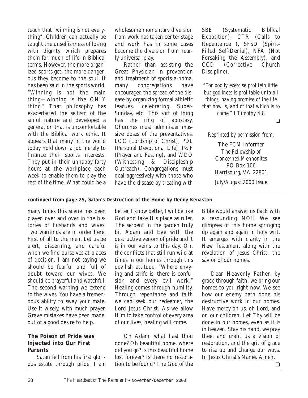teach that "winning is not everything". Children can actually be taught the unselfishness of losing with dignity which prepares them for much of life in Biblical terms. However, the more organized sports get, the more dangerous they become to the soul. It has been said in the sports world, "Winning is not the main thing—winning is the ONLY thing." That philosophy has exacerbated the selfism of the sinful nature and developed a generation that is uncomfortable with the Biblical work ethic. It appears that many in the world today hold down a job merely to finance their sports interests. They put in their unhappy forty hours at the workplace each week to enable them to play the rest of the time. What could be a

wholesome momentary diversion from work has taken center stage and work has in some cases become the diversion from nearly universal play.

Rather than assisting the Great Physician in prevention and treatment of sports-a-noma, many congregations have encouraged the spread of the disease by organizing formal athletic leagues, celebrating Super-Sunday, etc. This sort of thing has the ring of apostasy. Churches must administer massive doses of the preventatives, LOC (Lordship of Christ), PDL (Personal Devotional Life), P&F (Prayer and Fasting), and WDO (Witnessing & Discipleship Outreach). Congregations must deal aggressively with those who have the disease by treating with SBE (Systematic Biblical Exposition), CTR (Calls to Repentance ), SFSD (Spirit-Filled Self-Denial), NFA (Not Forsaking the Assembly), and CCD (Corrective Church Discipline).

*"For bodily exercise profiteth little: but godliness is profitable unto all things, having promise of the life that now is, and of that which is to come." I Timothy 4:8*

❏

*Reprinted by permission from:*

The FCM Informer *The Fellowship of Concerned Mennonites* PO Box 106 Harrisburg, VA 22801 *July/August 2000 Issue*

#### *continued from page 25,* **Satan's Destruction of the Home** *by Denny Kenaston*

many times this scene has been played over and over in the histories of husbands and wives. Two warnings are in order here. First of all to the men. Let us be alert, discerning, and careful when we find ourselves at places of decision. I am not saying we should be fearful and full of doubt toward our wives. We should be prayerful and watchful. The second warning we extend to the wives. You have a tremendous ability to sway your mate. Use it wisely, with much prayer. Grave mistakes have been made, out of a good desire to help.

#### **The Poison of Pride was Injected into Our First Parents**

Satan fell from his first glorious estate through pride. I am better, I know better, I will be like God and take His place as ruler. The serpent in the garden truly bit Adam and Eve with the destructive venom of pride and it is in our veins to this day. Oh, the conflicts that still run wild at times in our homes through this devilish attitude. "Where envying and strife is, there is confusion and every evil work." Healing comes through humility. Through repentance and faith we can seek our redeemer, the Lord Jesus Christ. As we allow Him to take control of every area of our lives, healing will come.

Oh Adam, what hast thou done? Oh beautiful home, where did you go? Is this beautiful home lost forever? Is there no restoration to be found? The God of the

Bible would answer us back with a resounding NO!! We see glimpses of this home springing up again and again in holy writ. It emerges with clarity in the New Testament along with the revelation of Jesus Christ, the savior of our homes.

Dear Heavenly Father, by grace through faith, we bring our homes to you right now. We see how our enemy hath done his destructive work in our homes. Have mercy on us, oh Lord, and on our children. Let Thy will be done in our homes, even as it is in heaven. Stay his hand, we pray thee, and grant us a vision of restoration, and the grit of grace to rise up and change our ways. In Jesus Christ's Name. Amen.

❏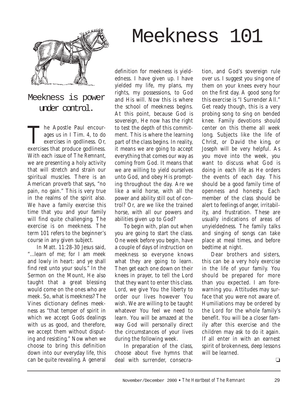

Meekness is power under control.

The Apostle Paul encour-<br>ages us in I Tim. 4, to do<br>exercises in godliness. Or, ages us in I Tim. 4, to do exercises in godliness. Or, exercises that produce godliness. With each issue of *The Remnant*, we are presenting a holy activity that will stretch and strain our spiritual muscles. There is an American proverb that says, "no pain, no gain." This is very true in the realms of the spirit also. We have a family exercise this time that you and your family will find quite challenging. The exercise is on meekness. The term 101 refers to the beginner's course in any given subject.

In Matt. 11:28-30 Jesus said, "...learn of me; for I am meek and lowly in heart: and ye shall find rest unto your souls." In the Sermon on the Mount, He also taught that a great blessing would come on the ones who are meek. So, what is meekness? The Vines dictionary defines meekness as "that temper of spirit in which we accept Gods dealings with us as good, and therefore, we accept them without disputing and resisting." Now when we choose to bring this definition down into our everyday life, this can be quite revealing. A general

definition for meekness is yieldedness. I have given up. I have yielded my life, my plans, my rights, my possessions, to God and His will. Now this is where the school of meekness begins. At this point, because God is sovereign, He now has the right to test the depth of this commitment. This is where the learning part of the class begins. In reality, it means we are going to accept everything that comes our way as coming from God. It means that we are willing to yield ourselves unto God, and obey His prompting throughout the day. Are we like a wild horse, with all the power and ability still out of control? Or, are we like the trained horse, with all our powers and abilities given up to God?

Meekness 101

To begin with, plan out when you are going to start the class. One week before you begin, have a couple of days of instruction on meekness so everyone knows what they are going to learn. Then get each one down on their knees in prayer, to tell the Lord that they want to enter this class. Lord, we give You the liberty to order our lives however You wish. We are willing to be taught whatever You feel we need to learn. You will be amazed at the way God will personally direct the circumstances of your lives during the following week.

In preparation of the class, choose about five hymns that deal with surrender, consecra-

tion, and God's sovereign rule over us. I suggest you sing one of them on your knees every hour on the first day. A good song for this exercise is "I Surrender All." Get ready though, this is a very probing song to sing on bended knee. Family devotions should center on this theme all week long. Subjects like the life of Christ, or David the king, or Joseph will be very helpful. As you move into the week, you want to discuss what God is doing in each life as He orders the events of each day. This should be a good family time of openness and honesty. Each member of the class should be alert to feelings of anger, irritability, and frustration. These are usually indications of areas of unyieldedness. The family talks and singing of songs can take place at meal times, and before bedtime at night.

Dear brothers and sisters, this can be a very holy exercise in the life of your family. You should be prepared for more than you expected. I am forewarning you. Attitudes may surface that you were not aware of. Humiliations may be ordered by the Lord for the whole family's benefit. You will be a closer family after this exercise and the children may ask to do it again. If all enter in with an earnest spirit of brokenness, deep lessons will be learned.

 $\Box$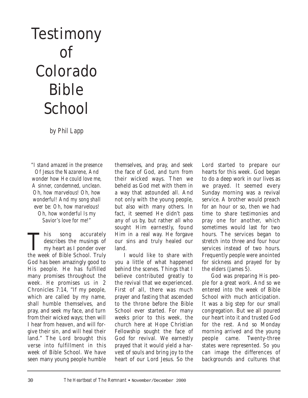## **Testimony** of Colorado Bible **School**

*by Phil Lapp*

*"I stand amazed in the presence Of Jesus the Nazarene, And wonder how He could love me, A sinner, condemned, unclean. Oh, how marvelous! Oh, how wonderful! And my song shall ever be: Oh, how marvelous! Oh, how wonderful Is my Savior's love for me!"*

This song accurately<br>describes the musings of<br>my heart as I ponder over describes the musings of my heart as I ponder over the week of Bible School. Truly God has been amazingly good to His people. He has fulfilled many promises throughout the week. He promises us in 2 Chronicles 7:14, "If my people, which are called by my name, shall humble themselves, and pray, and seek my face, and turn from their wicked ways; then will I hear from heaven, and will forgive their sin, and will heal their land." The Lord brought this verse into fulfillment in this week of Bible School. We have seen many young people humble

themselves, and pray, and seek the face of God, and turn from their wicked ways. Then we beheld as God met with them in a way that astounded all. And not only with the young people, but also with many others. In fact, it seemed He didn't pass any of us by, but rather all who sought Him earnestly, found Him in a real way. He forgave our sins and truly healed our land.

I would like to share with you a little of what happened behind the scenes. Things that I believe contributed greatly to the revival that we experienced. First of all, there was much prayer and fasting that ascended to the throne before the Bible School ever started. For many weeks prior to this week, the church here at Hope Christian Fellowship sought the face of God for revival. We earnestly prayed that it would yield a harvest of souls and bring joy to the heart of our Lord Jesus. So the

Lord started to prepare our hearts for this week. God began to do a deep work in our lives as we prayed. It seemed every Sunday morning was a revival service. A brother would preach for an hour or so, then we had time to share testimonies and pray one for another, which sometimes would last for two hours. The services began to stretch into three and four hour services instead of two hours. Frequently people were anointed for sickness and prayed for by the elders (James 5).

God was preparing His people for a great work. And so we entered into the week of Bible School with much anticipation. It was a big step for our small congregation. But we all poured our heart into it and trusted God for the rest. And so Monday morning arrived and the young people came. Twenty-three states were represented. So you can image the differences of backgrounds and cultures that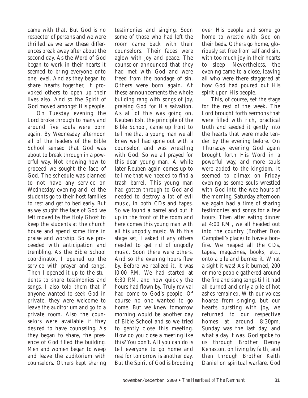came with that. But God is no respecter of persons and we were thrilled as we saw these differences break away after about the second day. As the Word of God began to work in their hearts it seemed to bring everyone onto one level. And as they began to share hearts together, it provoked others to open up their lives also. And so the Spirit of God moved amongst His people.

On Tuesday evening the Lord broke through to many and around five souls were born again. By Wednesday afternoon all of the leaders of the Bible School sensed that God was about to break through in a powerful way. Not knowing how to proceed we sought the face of God. The schedule was planned to not have any service on Wednesday evening and let the students go to their host families to rest and get to bed early. But as we sought the face of God we felt moved by the Holy Ghost to keep the students at the church house and spend some time in praise and worship. So we proceeded with anticipation and trembling. As the Bible School coordinator, I opened up the service with prayer and songs. Then I opened it up to the students to share testimonies and songs. I also told them that if anyone wanted to seek God in private, they were welcome to leave the auditorium and go to a private room. Also the counselors were available if they desired to have counseling. As they began to share, the presence of God filled the building. Men and women began to weep and leave the auditorium with counselors. Others kept sharing

testimonies and singing. Soon some of those who had left the room came back with their counselors. Their faces were aglow with joy and peace. The counselor announced that they had met with God and were freed from the bondage of sin. Others were born again. At these announcements the whole building rang with songs of joy, praising God for His salvation. As all of this was going on, Reuben Esh, the principle of the Bible School, came up front to tell me that a young man we all knew well had gone out with a counselor, and was wrestling with God. So we all prayed for this dear young man. A while later Reuben again comes up to tell me that we needed to find a trash barrel. This young man had gotten through to God and needed to destroy a lot of evil music, in both CDs and tapes. So we found a barrel and put it up in the front of the room and here comes this young man with all his ungodly music. With this stage set, I asked if any others needed to get rid of ungodly music. Soon there were others. And so the evening hours flew by. Before we realized it, it was l0:00 P.M. We had started at 6:30 P.M. and how quickly the hours had flown by. Truly revival had come to God's people. Of course no one wanted to go home. But we knew tomorrow morning would be another day of Bible School and so we tried to gently close this meeting. How do you close a meeting like this? You don't. All you can do is tell everyone to go home and rest for tomorrow is another day. But the Spirit of God is brooding

over His people and some go home to wrestle with God on their beds. Others go home, gloriously set free from self and sin, with too much joy in their hearts to sleep. Nevertheless, the evening came to a close, leaving all who were there staggered at how God had poured out His spirit upon His people.

This, of course, set the stage for the rest of the week. The Lord brought forth sermons that were filled with rich, practical truth and seeded it gently into the hearts that were made tender by the evening before. On Thursday evening God again brought forth His Word in a powerful way, and more souls were added to the kingdom. It seemed to climax on Friday evening as some souls wrestled with God into the wee hours of the morning. Saturday afternoon we again had a time of sharing testimonies and songs for a few hours. Then after eating dinner at 4:00 P.M., we all headed out into the country (Brother Don Campbell's place) to have a bonfire. We heaped all the CDs, tapes, magazines, books, etc., onto a pile and burned it. What a sight it was! As it burned, 200 or more people gathered around the fire and sang songs till it had all burned and only a pile of hot ashes remained. With our voices hoarse from singing, but our hearts bursting with joy, we returned to our respective homes at around 8:30pm. Sunday was the last day, and what a day it was. God spoke to us through Brother Denny Kenaston, on living by faith, and then through Brother Keith Daniel on spiritual warfare. God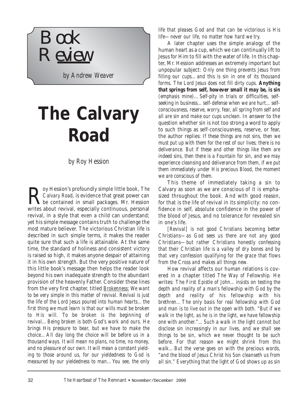

*by Andrew Weaver*

## **The Calvary Road**

*by Roy Hession*

**R** Calvary Road, is evidence that great power can<br>be contained in small packages. Mr. Hession<br>writes short revival senseially continuous personal *Calvary Road,* is evidence that great power can writes about revival, especially continuous, personal revival, in a style that even a child can understand; yet his simple message contains truth to challenge the most mature believer. The victorious Christian life is described in such simple terms, it makes the reader quite sure that such a life is attainable. At the same time, the standard of holiness and consistent victory is raised so high, it makes anyone despair of attaining it in his own strength. But the very positive nature of this little book's message then helps the reader look beyond his own inadequate strength to the abundant provision of the heavenly Father. Consider these lines from the very first chapter, titled *Brokenness*: *We want to be very simple in this matter of revival. Revival is just the life of the Lord Jesus poured into human hearts…the first thing we must learn is that our wills must be broken to His will. To be broken is the beginning of revival…Being broken is both God's work and ours. He brings His pressure to bear, but we have to make the choice…All day long the choice will be before us in a thousand ways. It will mean no plans, no time, no money, and no pleasure of our own. It will mean a constant yielding to those around us, for our yieldedness to God is measured by our yieldedness to man…You see, the only*

*life that pleases God and that can be victorious is His life—never our life, no matter how hard we try.*

A later chapter uses the simple analogy of the human heart as a cup, which we can continually lift to Jesus for Him to fill with the water of life. In this chapter, Mr. Hession addresses an extremely important but unpopular subject: *Only one thing prevents Jesus from filling our cups…and this is sin in one of its thousand forms. The Lord Jesus does not fill dirty cups. Anything that springs from self, however small it may be, is sin (emphasis mine)…Self-pity in trials or difficulties, selfseeking in business…self-defense when we are hurt…selfconsciousness, reserve, worry, fear, all spring from self and all are sin and make our cups unclean.* In answer to the question whether sin is not too strong a word to apply to such things as self-consciousness, reserve, or fear, the author replies: *If these things are not sins, then we must put up with them for the rest of our lives; there is no deliverance. But if these and other things like them are indeed sins, then there is a Fountain for sin, and we may experience cleansing and deliverance from them, if we put them immediately under His precious Blood, the moment we are conscious of them.*

This theme of immediately taking a sin to Calvary as soon as we are conscious of it is emphasized throughout the book. And with good reason, for that is the life of revival in its simplicity: no confidence in self, absolute confidence in the power of the blood of Jesus, and no tolerance for revealed sin in one's life.

*[Revival] is not good Christians becoming better Christians—as God sees us there are not any good Christians—but rather Christians honestly confessing that their Christian life is a valley of dry bones and by that very confession qualifying for the grace that flows from the Cross and makes all things new.*

How revival affects our human relations is covered in a chapter titled *The Way of Fellowship.* He writes: *The First Epistle of John…insists on testing the depth and reality of a man's fellowship with God by the depth and reality of his fellowship with his brethren…The only basis for real fellowship with God and man is to live out in the open with both. "But if we walk in the light, as he is in the light, we have fellowship one with another."…Such a walk in the light cannot but disclose sin increasingly in our lives, and we shall see things to be sin, which we never thought to be such before. For that reason we might shrink from this walk…But the verse goes on with the precious words, "and the blood of Jesus Christ his Son cleanseth us from all sin." Everything that the light of God shows up as sin*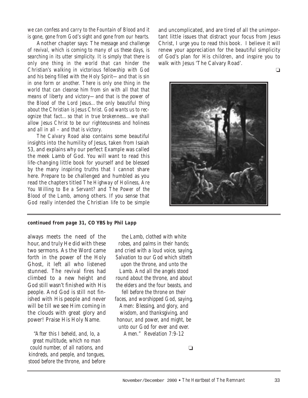*we can confess and carry to the Fountain of Blood and it is gone, gone from God's sight and gone from our hearts.*

Another chapter says: *The message and challenge of revival, which is coming to many of us these days, is searching in its utter simplicity. It is simply that there is only one thing in the world that can hinder the Christian's walking in victorious fellowship with God and his being filled with the Holy Spirit—and that is sin in one form or another. There is only one thing in the world that can cleanse him from sin with all that that means of liberty and victory—and that is the power of the Blood of the Lord Jesus…the only beautiful thing about the Christian is Jesus Christ. God wants us to recognize that fact…so that in true brokenness…we shall allow Jesus Christ to be our righteousness and holiness and all in all – and that is victory.*

*The Calvary Road* also contains some beautiful insights into the humility of Jesus, taken from Isaiah 53, and explains why our perfect Example was called the meek Lamb of God. You will want to read this life-changing little book for yourself and be blessed by the many inspiring truths that I cannot share here. Prepare to be challenged and humbled as you read the chapters titled *The Highway of Holiness, Are You Willing to Be a Servant?* and *The Power of the Blood of the Lamb,* among others. If you sense that God really intended the Christian life to be simple

and uncomplicated, and are tired of all the unimportant little issues that distract your focus from Jesus Christ, I urge you to read this book. I believe it will renew your appreciation for the beautiful simplicity of God's plan for His children, and inspire you to walk with Jesus 'The Calvary Road'.

❏



#### *continued from page 31,* **CO YBS** *by Phil Lapp*

always meets the need of the hour, and truly He did with these two sermons. As the Word came forth in the power of the Holy Ghost, it left all who listened stunned. The revival fires had climbed to a new height and God still wasn't finished with His people. And God is still not finished with His people and never will be till we see Him coming in the clouds with great glory and power! Praise His Holy Name.

*"After this I beheld, and, lo, a great multitude, which no man could number, of all nations, and kindreds, and people, and tongues, stood before the throne, and before*

*the Lamb, clothed with white robes, and palms in their hands; and cried with a loud voice, saying, Salvation to our God which sitteth upon the throne, and unto the Lamb. And all the angels stood round about the throne, and about the elders and the four beasts, and fell before the throne on their faces, and worshipped God, saying, Amen: Blessing, and glory, and wisdom, and thanksgiving, and honour, and power, and might, be unto our God for ever and ever. Amen." Revelation 7:9-12*

❏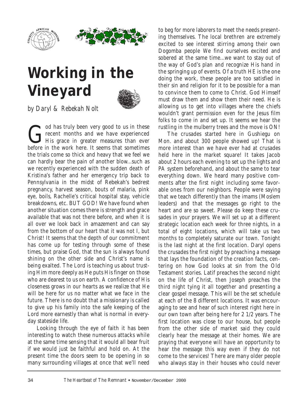



## **Working in the Vineyard**



*by Daryl & Rebekah Nolt*

God has truly been very good to us in these<br>recent months and we have experienced<br>His grace in greater measures than ever recent months and we have experienced before in the work here. It seems that sometimes the trials come so thick and heavy that we feel we can hardly bear the pain of another blow...such as we recently experienced with the sudden death of Kristina's father and her emergency trip back to Pennsylvania in the midst of Rebekah's bedrest pregnancy, harvest season, bouts of malaria, pink eye, boils, Rachelle's critical hospital stay, vehicle breakdowns, etc. BUT GOD! We have found when another situation comes there is strength and grace available that was not there before, and when it is all over we look back in amazement and can say from the bottom of our heart that it was not I, but Christ! It seems that the depth of our commitment has come up for testing through some of these times, but praise God, that the sun is always found shining on the other side and Christ's name is being exalted. The Lord is teaching us about trusting Him more deeply as He puts His finger on those who are dearest to us on earth. A confidence of His closeness grows in our hearts as we realize that He will be here for us no matter what we face in the future. There is no doubt that a missionary is called to give up his family into the safe keeping of the Lord more earnestly than what is normal in everyday stateside life.

Looking through the eye of faith it has been interesting to watch these numerous attacks while at the same time sensing that it would all bear fruit if we would just be faithful and hold on. At the present time the doors seem to be opening in so many surrounding villages at once that we'll need

to beg for more laborers to meet the needs presenting themselves. The local brethren are extremely excited to see interest stirring among their own Dogomba people We find ourselves excited and sobered at the same time...we want to stay out of the way of God's plan and recognize His hand in the springing up of events. Of a truth HE is the one doing the work, these people are too satisfied in their sin and religion for it to be possible for a man to convince them to come to Christ. God Himself must draw them and show them their need. He is allowing us to get into villages where the chiefs wouldn't grant permission even for the Jesus film folks to come in and set up. It seems we hear the rustling in the mulberry trees and the move is ON!

The crusades started here in Gushiegu on Mon. and about 300 people showed up! That is more interest than we have ever had at crusades held here in the market square! It takes Jacob about 2 hours each evening to set up the lights and PA system beforehand, and about the same to tear everything down. We heard many positive comments after the first night including some favorable ones from our neighbors. People were saying that we teach differently than the imams (Moslem leaders) and that the messages go right to the heart and are so sweet. Please do keep these crusades in your prayers. We will set up at a different strategic location each week for three nights, in a total of eight locations, which will take us two months to completely saturate our town. Tonight is the last night at the first location. Daryl opens the crusades the first night by preaching a message that lays the foundation of the creation facts, centering on how God looks at sin from the Old Testament stories. Latif preaches the second night on the life of Christ, then Joseph preaches the third night tying it all together and presenting a clear gospel message. This will be the set schedule at each of the 8 different locations. It was encouraging to see and hear of such interest right here in our own town after being here for 2 1/2 years. The first location was close to our house, but people from the other side of market said they could clearly hear the message at their homes. We are praying that everyone will have an opportunity to hear the message this way even if they do not come to the services! There are many older people who always stay in their houses who could never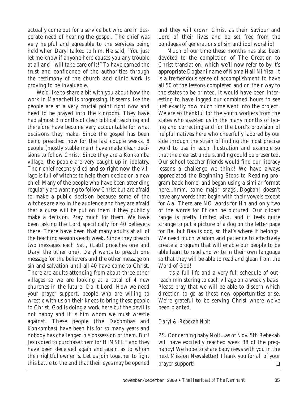actually come out for a service but who are in desperate need of hearing the gospel. The chief was very helpful and agreeable to the services being held when Daryl talked to him. He said, "You just let me know if anyone here causes you any trouble at all and I will take care of it!" To have earned the trust and confidence of the authorities through the testimony of the church and clinic work is proving to be invaluable.

We'd like to share a bit with you about how the work in Manacheti is progressing. It seems like the people are at a very crucial point right now and need to be prayed into the kingdom. They have had almost 3 months of clear biblical teaching and therefore have become very accountable for what decisions they make. Since the gospel has been being preached now for the last couple weeks, 8 people (mostly stable men) have made clear decisions to follow Christ. Since they are a Konkomba village, the people are very caught up in idolatry. Their chief recently died and so right now the village is full of witches to help them decide on a new chief. Many of the people who have been attending regularly are wanting to follow Christ but are afraid to make a public decision because some of the witches are also in the audience and they are afraid that a curse will be put on them if they publicly make a decision. Pray much for them. We have been asking the Lord specifically for 40 believers there. There have been that many adults at all of the teaching sessions each week. Since they preach two messages each Sat., (Latif preaches one and Daryl the other one), Daryl wants to preach one message for the believers and the other message on sin and salvation until all 40 have come to Christ. There are adults attending from about three other villages so we are looking at a total of 4 new churches in the future! Do it Lord! How we need your prayer support, people who are willing to wrestle with us on their knees to bring these people to Christ. God is doing a work here but the devil is not happy and it is him whom we must wrestle against. These people (the Dagombas and Konkombas) have been his for so many years and nobody has challenged his possession of them. But! Jesus died to purchase them for HIMSELF and they have been deceived again and again as to whom their rightful owner is. Let us join together to fight this battle to the end that their eyes may be opened

and they will crown Christ as their Saviour and Lord of their lives and be set free from the bondages of generations of sin and idol worship!

Much of our time these months has also been devoted to the completion of The Creation to Christ translation, which we'll now refer to by it's appropriate Dogbani name of Nama Hali Ni Yisa. It is a tremendous sense of accomplishment to have all 50 of the lessons completed and on their way to the states to be printed. It would have been interesting to have logged our combined hours to see just exactly how much time went into the project! We are so thankful for the youth workers from the states who assisted us in the many months of typing and correcting and for the Lord's provision of helpful natives here who cheerfully labored by our side through the strain of finding the most precise word to use in each illustration and example so that the clearest understanding could be presented. Our school teacher friends would find our literacy lessons a challenge we think! We have always appreciated the Beginning Steps to Reading program back home, and began using a similar format here...hmm, some major snags...Dogbani doesn't have any words that begin with their vowels except for Aa! There are NO words for Hh and only two of the words for Ff can be pictured. Our clipart range is pretty limited also, and it feels quite strange to put a picture of a dog on the letter page for Ba, but Baa is dog, so that's where it belongs! We need much wisdom and patience to effectively create a program that will enable our people to be able learn to read and write in their own language so that they will be able to read and glean from the Word of God!

It's a full life and a very full schedule of outreach ministering to each village on a weekly basis! Please pray that we will be able to discern which direction to go as these new opportunities arise. We're grateful to be serving Christ where we've been planted,

#### *Daryl & Rebekah Nolt*

P.S. Concerning baby Nolt...as of Nov. 5th Rebekah will have excitedly reached week 38 of the pregnancy! We hope to share baby news with you in the next Mission Newsletter! Thank you for all of your prayer support!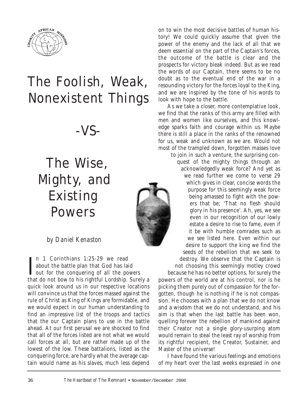

### The Foolish, Weak, Nonexistent Things

-VS-

### The Wise, Mighty, and Existing Powers



#### *by Daniel Kenaston*

 $\prod_{\text{sub}}$  and  $\prod_{\text{sub}}$  Corinthians 1:25-29 we read<br>about the battle plan that God has laid<br>that do not have to bis wishtful Lordship Syres n 1 Corinthians 1:25-29 we read about the battle plan that God has laid that do not bow to his rightful Lordship. Surely a quick look around us in our respective locations will convince us that the forces massed against the rule of Christ as King of Kings are formidable, and we would expect in our human understanding to find an impressive list of the troops and tactics that the our Captain plans to use in the battle ahead. At our first perusal we are shocked to find that all of the forces listed are not what we would call forces at all, but are rather made up of the lowest of the low. These battalions, listed as the conquering force, are hardly what the average captain would name as his slaves, much less depend

on to win the most decisive battles of human history! We could quickly assume that given the power of the enemy and the lack of all that we deem essential on the part of the Captain's forces, the outcome of the battle is clear and the prospects for victory bleak indeed. But as we read the words of our Captain, there seems to be no doubt as to the eventual end of the war in a resounding victory for the forces loyal to the King, and we are inspired by the tone of his words to look with hope to the battle.

As we take a closer, more contemplative look, we find that the ranks of this army are filled with men and women like ourselves, and this knowledge sparks faith and courage within us. Maybe there is still a place in the ranks of the renowned for us, weak and unknown as we are. Would not most of the trampled down, forgotten masses love

to join in such a venture, the surprising conquest of the mighty things through an acknowledgedly weak force? And yet as we read further we come to verse 29 which gives in clear, concise words the purpose for this seemingly weak force being amassed to fight with the powers that be; 'That no flesh should glory in his presence'. Ah, yes, we see even in our recognition of our lowly estate a desire to rise to fame, even if it be with humble comrades such as we see listed here. Even within our desire to support the king we find the seeds of the rebellion that we seek to destroy. We observe that the Captain is not choosing this seemingly motley crowd

because he has no better options, for surely the powers of the world are at his control, nor is he picking them purely out of compassion for the forgotten, though he is nothing if he is not compassion. He chooses with a plan that we do not know and a wisdom that we do not understand, and his aim is that when the last battle has been won, quelling forever the rebellion of mankind against their Creator not a single glory-usurping atom would remain to steal the least ray of worship from its rightful recipient, the Creator, Sustainer, and Master of the universe!

I have found the various feelings and emotions of my heart over the last weeks expressed in one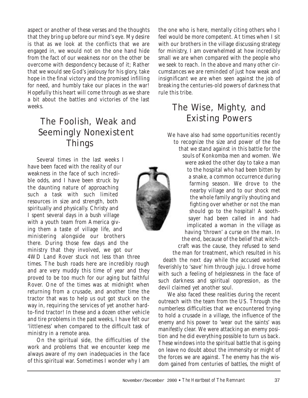aspect or another of these verses and the thoughts that they bring up before our mind's eye. My desire is that as we look at the conflicts that we are engaged in, we would not on the one hand hide from the fact of our weakness nor on the other be overcome with despondency because of it; Rather that we would see God's jealousy for his glory, take hope in the final victory and the promised infilling for need, and humbly take our places in the war! Hopefully this heart will come through as we share a bit about the battles and victories of the last weeks.

### The Foolish, Weak and Seemingly Nonexistent Things

Several times in the last weeks I have been faced with the reality of our weakness in the face of such incredible odds, and I have been struck by the daunting nature of approaching such a task with such limited resources in size and strength, both spiritually and physically. Christy and I spent several days in a bush village with a youth team from America giving them a taste of village life, and ministering alongside our brothers there. During those few days and the ministry that they involved, we got our 4WD Land Rover stuck not less than three times. The bush roads here are incredibly rough and are very muddy this time of year and they proved to be too much for our aging but faithful Rover. One of the times was at midnight when returning from a crusade, and another time the tractor that was to help us out got stuck on the way in, requiring the services of yet another hardto-find tractor! In these and a dozen other vehicle and tire problems in the past weeks, I have felt our 'littleness' when compared to the difficult task of ministry in a remote area.

On the spiritual side, the difficulties of the work and problems that we encounter keep me always aware of my own inadequacies in the face of this spiritual war. Sometimes I wonder why I am

the one who is here, mentally citing others who I feel would be more competent. At times when I sit with our brothers in the village discussing strategy for ministry, I am overwhelmed at how incredibly small we are when compared with the people who we seek to reach. In the above and many other circumstances we are reminded of just how weak and insignificant we are when seen against the job of breaking the centuries-old powers of darkness that rule this tribe.

### The Wise, Mighty, and Existing Powers

We have also had some opportunities recently to recognize the size and power of the foe that we stand against in this battle for the souls of Konkomba men and women. We were asked the other day to take a man to the hospital who had been bitten by a snake, a common occurrence during farming season. We drove to the nearby village and to our shock met the whole family angrily shouting and fighting over whether or not the man should go to the hospital! A soothsayer had been called in and had implicated a woman in the village as having 'thrown' a curse on the man. In the end, because of the belief that witchcraft was the cause, they refused to send

the man for treatment, which resulted in his death the next day while the accused worked feverishly to 'save' him through juju. I drove home with such a feeling of helplessness in the face of such darkness and spiritual oppression, as the devil claimed yet another soul.

We also faced these realities during the recent outreach with the team from the US. Through the numberless difficulties that we encountered trying to hold a crusade in a village, the influence of the enemy and his power to 'wear out the saints' was manifestly clear. We were attacking an enemy position and he did everything possible to turn us back. These windows into the spiritual battle that is going on leave no doubt about the immensity or might of the forces we are against. The enemy has the wisdom gained from centuries of battles, the might of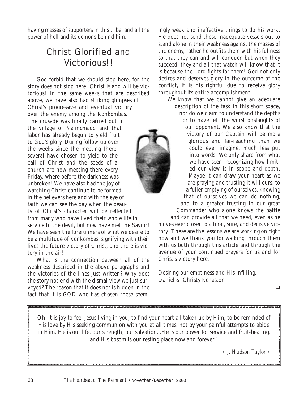having masses of supporters in this tribe, and all the power of hell and its demons behind him.

### Christ Glorified and Victorious!!

God forbid that we should stop here, for the story does not stop here! Christ is and will be victorious! In the same weeks that are described above, we have also had striking glimpses of Christ's progressive and eventual victory over the enemy among the Konkombas. The crusade was finally carried out in the village of Nalingmado and that labor has already begun to yield fruit to God's glory. During follow-up over the weeks since the meeting there, several have chosen to yield to the call of Christ and the seeds of a church are now meeting there every Friday, where before the darkness was unbroken! We have also had the joy of watching Christ continue to be formed in the believers here and with the eye of faith we can see the day when the beauty of Christ's character will be reflected from many who have lived their whole life in service to the devil, but now have met the Savior! We have seen the forerunners of what we desire to be a multitude of Konkombas, signifying with their lives the future victory of Christ, and there is victory in the air!

What is the connection between all of the weakness described in the above paragraphs and the victories of the lines just written? Why does the story not end with the dismal view we just surveyed? The reason that it does not is hidden in the fact that it is GOD who has chosen these seemingly weak and ineffective things to do his work. He does not send these inadequate vessels out to stand alone in their weakness against the masses of the enemy, rather he outfits them with his fullness so that they can and will conquer, but when they succeed, they and all that watch will know that it is because the Lord fights for them! God not only desires and deserves glory in the outcome of the conflict, it is his rightful due to receive glory throughout its entire accomplishment!



We know that we cannot give an adequate description of the task in this short space, nor do we claim to understand the depths or to have felt the worst onslaughts of our opponent. We also know that the victory of our Captain will be more glorious and far-reaching than we could ever imagine, much less put into words! We only share from what we have seen, recognizing how limited our view is in scope and depth. Maybe it can draw your heart as we are praying and trusting it will ours, to a fuller emptying of ourselves, knowing that of ourselves we can do nothing, and to a greater trusting in our great Commander who alone knows the battle

and can provide all that we need, even as he moves ever closer to a final, sure, and decisive victory! These are the lessons we are working on right now and we thank you for walking through them with us both through this article and through the avenue of your continued prayers for us and for Christ's victory here.

Desiring our emptiness and His infilling, Daniel & Christy Kenaston

❏

Oh, it is joy to feel Jesus living in you; to find your heart all taken up by Him; to be reminded of *His* love by His seeking communion with you at all times, not by your painful attempts to abide in Him. He is our life, our strength, our salvation...He is our power for service and fruit-bearing, and His bosom is our resting place now and forever."

• *J. Hudson Taylor* •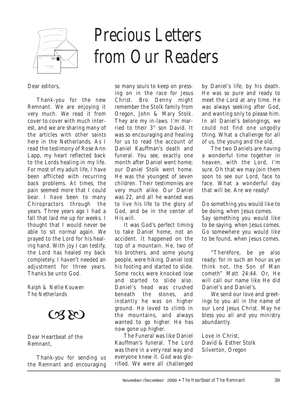

# *Precious Letters from Our Readers*

Dear editors,

Thank-you for the new Remnant. We are enjoying it very much. We read it from cover to cover with much interest, and we are sharing many of the articles with other saints here in the Netherlands. As I read the testimony of Rose Ann Lapp, my heart reflected back to the Lords healing in my life. For most of my adult life, I have been afflicted with recurring back problems. At times, the pain seemed more that I could bear. I have been to many Chiropractors through the years. Three years ago I had a fall that laid me up for weeks. I thought that I would never be able to sit normal again. We prayed to the Lord for his healing hand. With joy I can testify, the Lord has healed my back completely. I haven't needed an adjustment for three years. Thanks be unto God.

*Ralph & Nellie Kouwen The Netherlands*



Dear Heartbeat of the Remnant,

Thank-you for sending us the Remnant and encouraging so many souls to keep on pressing on in the race for Jesus Christ. Bro Denny might remember the Stolk family from Oregon, John & Mary Stolk. They are my in-laws. I'm married to their 3rd son David. It was so encouraging and healing for us to read the account of Daniel Kauffman's death and funeral. You see, exactly one month after Daniel went home; our Daniel Stolk went home. He was the youngest of seven children. Their testimonies are very much alike. Our Daniel was 22, and all he wanted was to live his life to the glory of God, and be in the center of His will.

It was God's perfect timing to take Daniel home, not an accident. It happened on the top of a mountain. He, two of his brothers, and some young people, were hiking. Daniel lost his footing and started to slide. Some rocks were knocked lose and started to slide also. Daniel's head was crushed beneath the stones, and instantly he was on higher ground. He loved to climb in the mountains, and always wanted to go higher. He has now gone up higher.

The Funeral was like Daniel Kauffman's funeral. The Lord was there in a very real way and everyone knew it. God was glorified. We were all challenged

by Daniel's life, by his death. He was so pure and ready to meet the Lord at any time. He was always seeking after God, and wanting only to please him. In all Daniel's belongings, we could not find one ungodly thing. What a challenge for all of us, the young and the old.

The two Daniels are having a wonderful time together in heaven, with the Lord, I'm sure. Oh that we may join them soon to see our Lord, face to face. What a wonderful day that will be. Are we ready?

Do something you would like to be doing, when Jesus comes. Say something you would like to be saying, when Jesus comes. Go somewhere you would like to be found, when Jesus comes.

"Therefore, be ye also ready: for in such an hour as ye think not, the Son of Man cometh" Matt 24:44. Or, He will call our name like He did Daniel's and Daniel's.

We send our love and greetings to you all in the name of our Lord Jesus Christ. May he bless you all and you ministry abundantly.

Love in Christ, David & Esther Stolk Silverton, Oregon